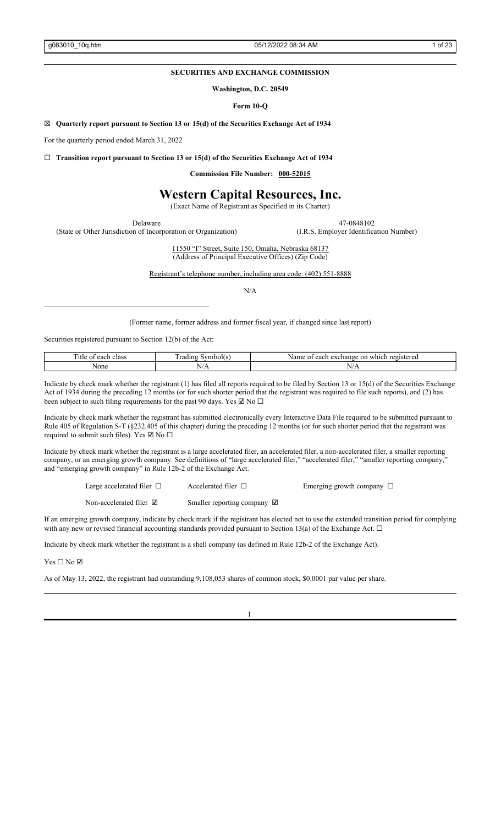## **SECURITIES AND EXCHANGE COMMISSION**

**Washington, D.C. 20549**

#### **Form 10-Q**

### ☒ **Quarterly report pursuant to Section 13 or 15(d) of the Securities Exchange Act of 1934**

For the quarterly period ended March 31, 2022

☐ **Transition report pursuant to Section 13 or 15(d) of the Securities Exchange Act of 1934**

**Commission File Number: 000-52015**

# **Western Capital Resources, Inc.**

(Exact Name of Registrant as Specified in its Charter)

Delaware 47-0848102 (State or Other Jurisdiction of Incorporation or Organization) (I.R.S. Employer Identification Number)

> 11550 "I" Street, Suite 150, Omaha, Nebraska 68137 (Address of Principal Executive Offices) (Zip Code)

Registrant's telephone number, including area code: (402) 551-8888

N/A

(Former name, former address and former fiscal year, if changed since last report)

Securities registered pursuant to Section 12(b) of the Act:

| . itle<br>anch<br>class<br>caci | ---<br>ווחר<br>raging | on<br>registered<br>Name<br>. exchange a<br>wh<br>.11 <sup>c</sup><br>eacr |
|---------------------------------|-----------------------|----------------------------------------------------------------------------|
| None                            | 'N .<br>1 V / 1 1     | $\sim$ 1/4 $\Lambda$                                                       |

Indicate by check mark whether the registrant (1) has filed all reports required to be filed by Section 13 or 15(d) of the Securities Exchange Act of 1934 during the preceding 12 months (or for such shorter period that the registrant was required to file such reports), and (2) has been subject to such filing requirements for the past 90 days. Yes  $\boxtimes$  No  $\Box$ 

Indicate by check mark whether the registrant has submitted electronically every Interactive Data File required to be submitted pursuant to Rule 405 of Regulation S-T (§232.405 of this chapter) during the preceding 12 months (or for such shorter period that the registrant was required to submit such files). Yes  $\boxtimes$  No  $\square$ 

Indicate by check mark whether the registrant is a large accelerated filer, an accelerated filer, a non-accelerated filer, a smaller reporting company, or an emerging growth company. See definitions of "large accelerated filer," "accelerated filer," "smaller reporting company, and "emerging growth company" in Rule 12b-2 of the Exchange Act.

| Large accelerated filer $\Box$    | Accelerated filer $\Box$              | Emerging growth company $\Box$ |
|-----------------------------------|---------------------------------------|--------------------------------|
| Non-accelerated filer $\boxtimes$ | Smaller reporting company $\boxtimes$ |                                |

If an emerging growth company, indicate by check mark if the registrant has elected not to use the extended transition period for complying with any new or revised financial accounting standards provided pursuant to Section 13(a) of the Exchange Act.  $\Box$ 

Indicate by check mark whether the registrant is a shell company (as defined in Rule 12b-2 of the Exchange Act).

Yes ☐ No ☑

As of May 13, 2022, the registrant had outstanding 9,108,053 shares of common stock, \$0.0001 par value per share.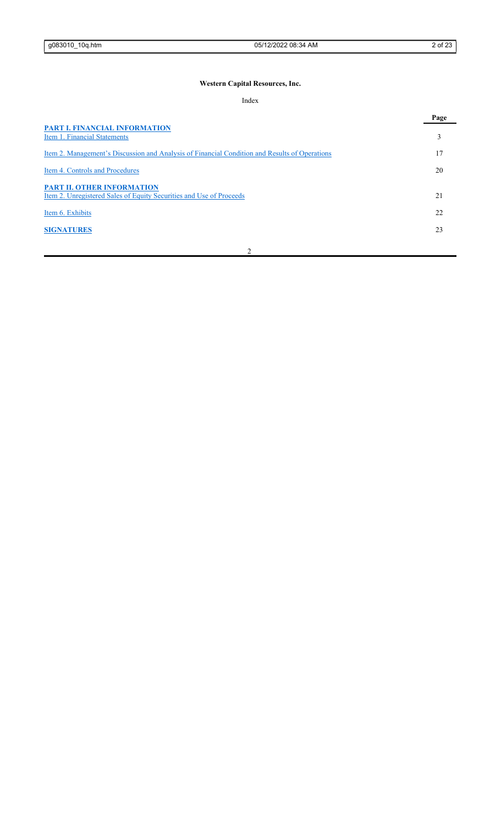## **Western Capital Resources, Inc.**

## Index

|                                                                                                          | Page |
|----------------------------------------------------------------------------------------------------------|------|
| <b>PART I. FINANCIAL INFORMATION</b><br>Item 1. Financial Statements                                     | 3    |
| Item 2. Management's Discussion and Analysis of Financial Condition and Results of Operations            | 17   |
| Item 4. Controls and Procedures                                                                          | 20   |
| <b>PART II. OTHER INFORMATION</b><br>Item 2. Unregistered Sales of Equity Securities and Use of Proceeds | 21   |
| Item 6. Exhibits                                                                                         | 22   |
| <b>SIGNATURES</b>                                                                                        | 23   |
|                                                                                                          |      |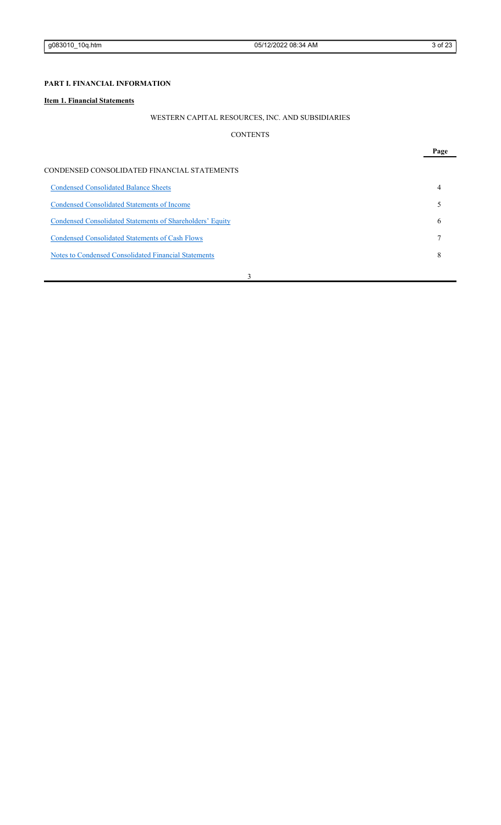## **PART I. FINANCIAL INFORMATION**

## **Item 1. Financial Statements**

### WESTERN CAPITAL RESOURCES, INC. AND SUBSIDIARIES

## CONTENTS

|                                                           | Page |
|-----------------------------------------------------------|------|
| CONDENSED CONSOLIDATED FINANCIAL STATEMENTS               |      |
| <b>Condensed Consolidated Balance Sheets</b>              |      |
| <b>Condensed Consolidated Statements of Income</b>        |      |
| Condensed Consolidated Statements of Shareholders' Equity | 6    |
| <b>Condensed Consolidated Statements of Cash Flows</b>    |      |
| Notes to Condensed Consolidated Financial Statements      | 8    |
|                                                           |      |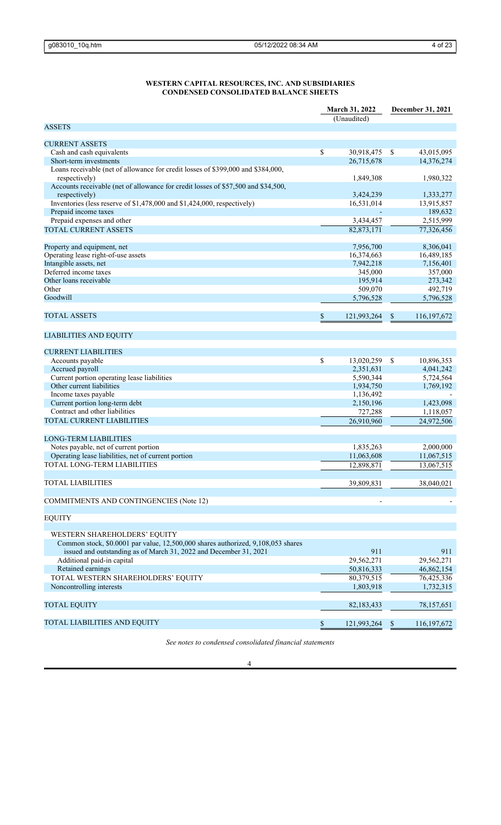### **WESTERN CAPITAL RESOURCES, INC. AND SUBSIDIARIES CONDENSED CONSOLIDATED BALANCE SHEETS**

|                                                                                   | March 31, 2022<br>(Unaudited) |    | <b>December 31, 2021</b> |
|-----------------------------------------------------------------------------------|-------------------------------|----|--------------------------|
| <b>ASSETS</b>                                                                     |                               |    |                          |
|                                                                                   |                               |    |                          |
| <b>CURRENT ASSETS</b><br>Cash and cash equivalents                                | \$<br>30,918,475              |    |                          |
| Short-term investments                                                            | 26,715,678                    | -S | 43,015,095<br>14,376,274 |
| Loans receivable (net of allowance for credit losses of \$399,000 and \$384,000,  |                               |    |                          |
| respectively)                                                                     | 1,849,308                     |    | 1,980,322                |
| Accounts receivable (net of allowance for credit losses of \$57,500 and \$34,500, |                               |    |                          |
| respectively)                                                                     | 3,424,239                     |    | 1,333,277                |
| Inventories (less reserve of \$1,478,000 and \$1,424,000, respectively)           | 16,531,014                    |    | 13,915,857               |
| Prepaid income taxes                                                              |                               |    | 189,632                  |
| Prepaid expenses and other                                                        | 3,434,457                     |    | 2,515,999                |
| TOTAL CURRENT ASSETS                                                              | 82,873,171                    |    | 77,326,456               |
|                                                                                   |                               |    |                          |
| Property and equipment, net                                                       | 7,956,700                     |    | 8,306,041                |
| Operating lease right-of-use assets                                               | 16,374,663                    |    | 16,489,185               |
| Intangible assets, net                                                            | 7,942,218                     |    | 7,156,401                |
| Deferred income taxes                                                             | 345,000                       |    | 357,000                  |
| Other loans receivable                                                            | 195,914                       |    | 273,342                  |
| Other                                                                             | 509,070                       |    | 492,719                  |
| Goodwill                                                                          | 5,796,528                     |    | 5,796,528                |
|                                                                                   |                               |    |                          |
| <b>TOTAL ASSETS</b>                                                               | \$<br>121,993,264             | \$ | 116, 197, 672            |
|                                                                                   |                               |    |                          |
| <b>LIABILITIES AND EQUITY</b>                                                     |                               |    |                          |
| <b>CURRENT LIABILITIES</b>                                                        |                               |    |                          |
| Accounts payable                                                                  | \$<br>13,020,259              | \$ | 10,896,353               |
| Accrued payroll                                                                   | 2,351,631                     |    | 4,041,242                |
| Current portion operating lease liabilities                                       | 5,590,344                     |    | 5,724,564                |
| Other current liabilities                                                         | 1,934,750                     |    | 1,769,192                |
| Income taxes payable                                                              | 1,136,492                     |    |                          |
| Current portion long-term debt                                                    | 2,150,196                     |    | 1,423,098                |
| Contract and other liabilities                                                    | 727,288                       |    | 1,118,057                |
| TOTAL CURRENT LIABILITIES                                                         | 26,910,960                    |    | 24,972,506               |
|                                                                                   |                               |    |                          |
| <b>LONG-TERM LIABILITIES</b>                                                      |                               |    |                          |
| Notes payable, net of current portion                                             | 1,835,263                     |    | 2,000,000                |
| Operating lease liabilities, net of current portion                               | 11,063,608                    |    | 11,067,515               |
| TOTAL LONG-TERM LIABILITIES                                                       | 12,898,871                    |    | 13,067,515               |
|                                                                                   |                               |    |                          |
| <b>TOTAL LIABILITIES</b>                                                          | 39,809,831                    |    | 38,040,021               |
|                                                                                   |                               |    |                          |
| <b>COMMITMENTS AND CONTINGENCIES (Note 12)</b>                                    |                               |    |                          |
| <b>EQUITY</b>                                                                     |                               |    |                          |
| WESTERN SHAREHOLDERS' EQUITY                                                      |                               |    |                          |
| Common stock, \$0.0001 par value, 12,500,000 shares authorized, 9,108,053 shares  |                               |    |                          |
| issued and outstanding as of March 31, 2022 and December 31, 2021                 | 911                           |    | 911                      |
| Additional paid-in capital                                                        | 29,562,271                    |    | 29,562,271               |
| Retained earnings                                                                 | 50,816,333                    |    | 46,862,154               |
| TOTAL WESTERN SHAREHOLDERS' EQUITY                                                | 80,379,515                    |    | 76,425,336               |
| Noncontrolling interests                                                          | 1,803,918                     |    | 1,732,315                |
|                                                                                   |                               |    |                          |
| <b>TOTAL EQUITY</b>                                                               | 82,183,433                    |    | 78,157,651               |
|                                                                                   |                               |    |                          |
| TOTAL LIABILITIES AND EQUITY                                                      | \$<br>121,993,264             | \$ | 116, 197, 672            |
|                                                                                   |                               |    |                          |

*See notes to condensed consolidated financial statements*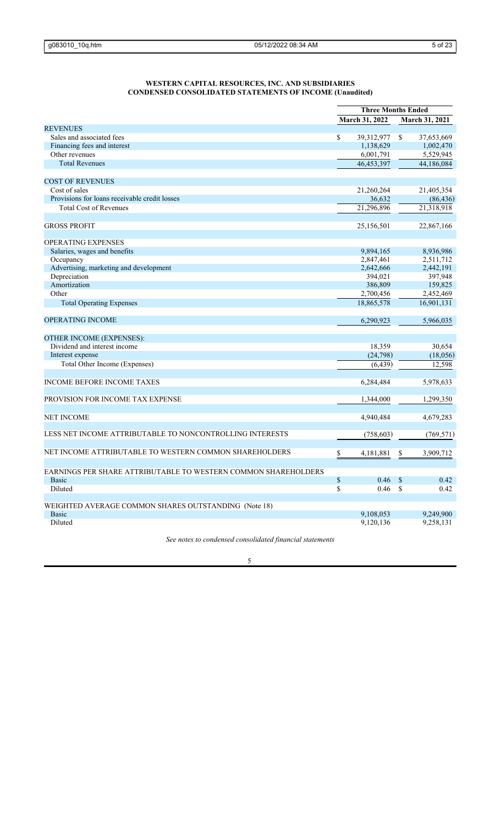### **WESTERN CAPITAL RESOURCES, INC. AND SUBSIDIARIES CONDENSED CONSOLIDATED STATEMENTS OF INCOME (Unaudited)**

|                                                                |                         | <b>Three Months Ended</b> |              |                       |
|----------------------------------------------------------------|-------------------------|---------------------------|--------------|-----------------------|
|                                                                |                         | March 31, 2022            |              | <b>March 31, 2021</b> |
| <b>REVENUES</b>                                                |                         |                           |              |                       |
| Sales and associated fees                                      | \$                      | 39,312,977                | $\mathbb{S}$ | 37,653,669            |
| Financing fees and interest                                    |                         | 1,138,629                 |              | 1,002,470             |
| Other revenues                                                 |                         | 6,001,791                 |              | 5,529,945             |
| <b>Total Revenues</b>                                          |                         | 46, 453, 397              |              | 44,186,084            |
| <b>COST OF REVENUES</b>                                        |                         |                           |              |                       |
| Cost of sales                                                  |                         | 21,260,264                |              | 21,405,354            |
| Provisions for loans receivable credit losses                  |                         | 36,632                    |              | (86, 436)             |
| <b>Total Cost of Revenues</b>                                  |                         | 21,296,896                |              | 21,318,918            |
| <b>GROSS PROFIT</b>                                            |                         |                           |              |                       |
|                                                                |                         | 25,156,501                |              | 22,867,166            |
| <b>OPERATING EXPENSES</b>                                      |                         |                           |              |                       |
| Salaries, wages and benefits                                   |                         | 9,894,165                 |              | 8,936,986             |
| Occupancy                                                      |                         | 2,847,461                 |              | 2,511,712             |
| Advertising, marketing and development                         |                         | 2,642,666                 |              | 2,442,191             |
| Depreciation                                                   |                         | 394,021                   |              | 397,948               |
| Amortization                                                   |                         | 386,809                   |              | 159,825               |
| Other                                                          |                         | 2,700,456                 |              | 2,452,469             |
| <b>Total Operating Expenses</b>                                |                         | 18,865,578                |              | 16,901,131            |
| <b>OPERATING INCOME</b>                                        |                         | 6,290,923                 |              | 5,966,035             |
| OTHER INCOME (EXPENSES):                                       |                         |                           |              |                       |
| Dividend and interest income                                   |                         | 18,359                    |              | 30,654                |
| Interest expense                                               |                         | (24,798)                  |              | (18,056)              |
| Total Other Income (Expenses)                                  |                         | $\overline{(6,439)}$      |              | 12,598                |
|                                                                |                         |                           |              |                       |
| INCOME BEFORE INCOME TAXES                                     |                         | 6,284,484                 |              | 5,978,633             |
| PROVISION FOR INCOME TAX EXPENSE                               |                         | 1,344,000                 |              | 1,299,350             |
| <b>NET INCOME</b>                                              |                         | 4,940,484                 |              | 4,679,283             |
|                                                                |                         |                           |              |                       |
| LESS NET INCOME ATTRIBUTABLE TO NONCONTROLLING INTERESTS       |                         | (758, 603)                |              | (769, 571)            |
| NET INCOME ATTRIBUTABLE TO WESTERN COMMON SHAREHOLDERS         | \$                      | 4,181,881                 | \$           | 3,909,712             |
| EARNINGS PER SHARE ATTRIBUTABLE TO WESTERN COMMON SHAREHOLDERS |                         |                           |              |                       |
| <b>Basic</b>                                                   | \$                      | 0.46                      | $\mathbf{s}$ | 0.42                  |
| Diluted                                                        | $\overline{\mathbb{S}}$ | 0.46                      | $\mathbb{S}$ | 0.42                  |
|                                                                |                         |                           |              |                       |
| WEIGHTED AVERAGE COMMON SHARES OUTSTANDING (Note 18)           |                         |                           |              |                       |
| <b>Basic</b>                                                   |                         | 9,108,053                 |              | 9,249,900             |
| Diluted                                                        |                         | 9,120,136                 |              | 9,258,131             |

*See notes to condensed consolidated financial statements*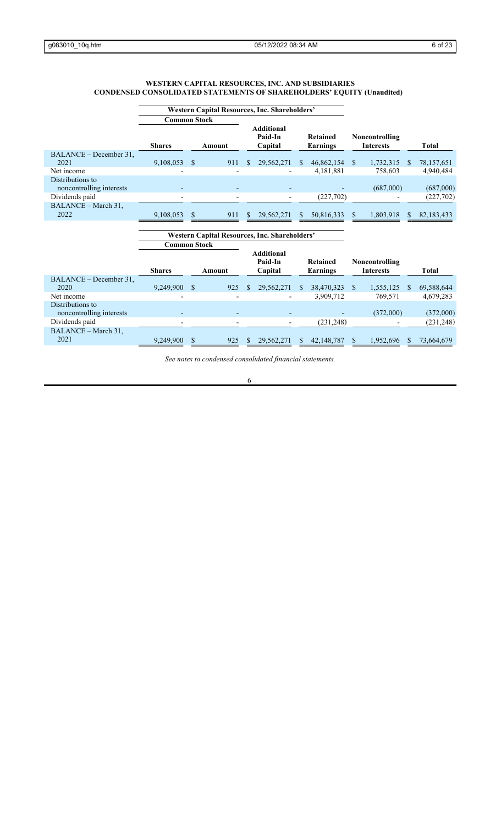### **WESTERN CAPITAL RESOURCES, INC. AND SUBSIDIARIES CONDENSED CONSOLIDATED STATEMENTS OF SHAREHOLDERS' EQUITY (Unaudited)**

| <b>Shares</b> |  | Amount |                     | Paid-In<br>Capital       |                   | <b>Retained</b> |                                                                  |           |                                           | Total      |
|---------------|--|--------|---------------------|--------------------------|-------------------|-----------------|------------------------------------------------------------------|-----------|-------------------------------------------|------------|
|               |  |        |                     |                          |                   |                 |                                                                  |           |                                           |            |
| 9,108,053     |  | 911    |                     | 29,562,271               |                   | 46,862,154      | <sup>\$</sup>                                                    | 1,732,315 | S.                                        | 78,157,651 |
|               |  |        |                     | $\overline{\phantom{0}}$ |                   | 4,181,881       |                                                                  | 758,603   |                                           | 4,940,484  |
|               |  |        |                     |                          |                   |                 |                                                                  | (687,000) |                                           | (687,000)  |
|               |  |        |                     |                          |                   | (227,702)       |                                                                  |           |                                           | (227,702)  |
| 9,108,053     |  | 911    |                     | 29,562,271               |                   | 50,816,333      | \$                                                               | 1,803,918 | S                                         | 82,183,433 |
|               |  | - \$   | <b>Common Stock</b> |                          | <b>Additional</b> |                 | <b>Western Capital Resources, Inc. Shareholders'</b><br>Earnings |           | <b>Noncontrolling</b><br><b>Interests</b> |            |

#### **Western Capital Resources, Inc. Shareholders' Common Stock Shares Amount Additional Paid-In Capital Retained Earnings Noncontrolling Interests Total**

|                          | энаг сэ                  | Ашоинс                   | Сарпаг                   | ванницу                  | THUEL ESTS               | 1 vtal     |
|--------------------------|--------------------------|--------------------------|--------------------------|--------------------------|--------------------------|------------|
| BALANCE – December 31,   |                          |                          |                          |                          |                          |            |
| 2020                     | 9.249.900                | 925                      | 29,562,271               | 38,470,323               | 1,555,125                | 69,588,644 |
| Net income               | $\overline{\phantom{0}}$ |                          | $\overline{\phantom{a}}$ | 3,909,712                | 769.571                  | 4,679,283  |
| Distributions to         |                          |                          |                          |                          |                          |            |
| noncontrolling interests |                          |                          | $\overline{\phantom{0}}$ | $\overline{\phantom{0}}$ | (372,000)                | (372,000)  |
| Dividends paid           | $\overline{\phantom{0}}$ | $\overline{\phantom{0}}$ | $\overline{\phantom{0}}$ | (231, 248)               | $\overline{\phantom{0}}$ | (231, 248) |
| BALANCE - March 31,      |                          |                          |                          |                          |                          |            |
| 2021                     | 9.249.900                | 925                      | 29.562.271               | 42,148,787               | 1.952.696                | 73,664,679 |

*See notes to condensed consolidated financial statements.*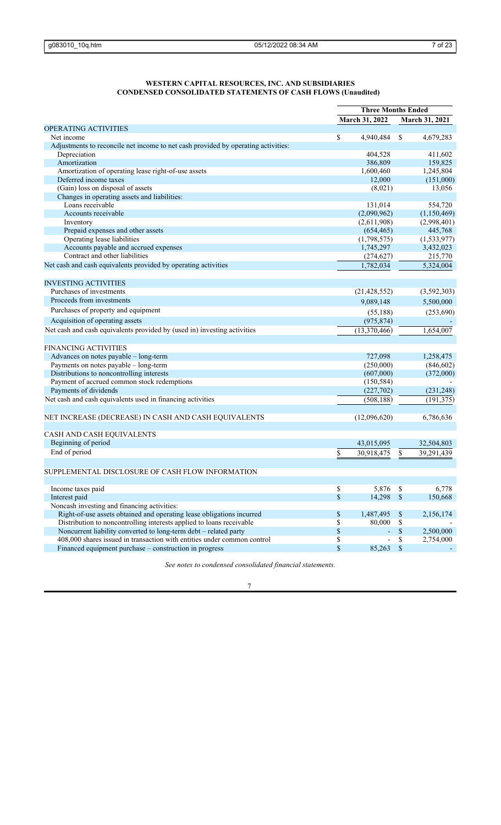### **WESTERN CAPITAL RESOURCES, INC. AND SUBSIDIARIES CONDENSED CONSOLIDATED STATEMENTS OF CASH FLOWS (Unaudited)**

|                                                                                   |                           | <b>Three Months Ended</b> |               |                       |
|-----------------------------------------------------------------------------------|---------------------------|---------------------------|---------------|-----------------------|
|                                                                                   |                           | <b>March 31, 2022</b>     |               | <b>March 31, 2021</b> |
| <b>OPERATING ACTIVITIES</b>                                                       |                           |                           |               |                       |
| Net income                                                                        | \$                        | 4,940,484                 | \$            | 4,679,283             |
| Adjustments to reconcile net income to net cash provided by operating activities: |                           |                           |               |                       |
| Depreciation                                                                      |                           | 404,528                   |               | 411,602               |
| Amortization                                                                      |                           | 386,809                   |               | 159,825               |
| Amortization of operating lease right-of-use assets                               |                           | 1,600,460                 |               | 1,245,804             |
| Deferred income taxes                                                             |                           | 12,000                    |               | (151,000)             |
| (Gain) loss on disposal of assets                                                 |                           | (8,021)                   |               | 13,056                |
| Changes in operating assets and liabilities:                                      |                           |                           |               |                       |
| Loans receivable                                                                  |                           | 131,014                   |               | 554,720               |
| Accounts receivable                                                               |                           | (2,090,962)               |               | (1,150,469)           |
| Inventory                                                                         |                           | (2,611,908)               |               | (2,998,401)           |
| Prepaid expenses and other assets                                                 |                           | (654, 465)                |               | 445,768               |
| Operating lease liabilities                                                       |                           | (1,798,575)               |               | (1, 533, 977)         |
| Accounts payable and accrued expenses                                             |                           | 1,745,297                 |               | 3,432,023             |
| Contract and other liabilities                                                    |                           | (274, 627)                |               | 215,770               |
| Net cash and cash equivalents provided by operating activities                    |                           | 1,782,034                 |               | 5,324,004             |
|                                                                                   |                           |                           |               |                       |
| <b>INVESTING ACTIVITIES</b>                                                       |                           |                           |               |                       |
| Purchases of investments                                                          |                           | (21, 428, 552)            |               | (3,592,303)           |
| Proceeds from investments                                                         |                           | 9,089,148                 |               | 5,500,000             |
| Purchases of property and equipment                                               |                           |                           |               |                       |
|                                                                                   |                           | (55, 188)                 |               | (253, 690)            |
| Acquisition of operating assets                                                   |                           | (975, 874)                |               |                       |
| Net cash and cash equivalents provided by (used in) investing activities          |                           | (13,370,466)              |               | 1,654,007             |
|                                                                                   |                           |                           |               |                       |
| <b>FINANCING ACTIVITIES</b>                                                       |                           |                           |               |                       |
| Advances on notes payable - long-term                                             |                           | 727,098                   |               | 1,258,475             |
| Payments on notes payable - long-term                                             |                           | (250,000)                 |               | (846, 602)            |
| Distributions to noncontrolling interests                                         |                           | (607,000)                 |               | (372,000)             |
| Payment of accrued common stock redemptions                                       |                           | (150, 584)                |               |                       |
| Payments of dividends                                                             |                           | (227,702)                 |               | (231, 248)            |
| Net cash and cash equivalents used in financing activities                        |                           | (508, 188)                |               | (191, 375)            |
|                                                                                   |                           |                           |               |                       |
| NET INCREASE (DECREASE) IN CASH AND CASH EQUIVALENTS                              |                           | (12,096,620)              |               | 6,786,636             |
|                                                                                   |                           |                           |               |                       |
| CASH AND CASH EQUIVALENTS                                                         |                           |                           |               |                       |
| Beginning of period                                                               |                           | 43,015,095                |               | 32,504,803            |
| End of period                                                                     | \$                        | 30,918,475                | \$            | 39,291,439            |
|                                                                                   |                           |                           |               |                       |
| SUPPLEMENTAL DISCLOSURE OF CASH FLOW INFORMATION                                  |                           |                           |               |                       |
|                                                                                   |                           |                           |               |                       |
| Income taxes paid                                                                 | \$                        | 5,876                     | \$            | 6,778                 |
| Interest paid                                                                     | $\boldsymbol{\mathsf{S}}$ | 14,298                    | $\mathbb{S}$  | 150,668               |
| Noncash investing and financing activities:                                       |                           |                           |               |                       |
| Right-of-use assets obtained and operating lease obligations incurred             | \$                        | 1,487,495                 | \$            | 2,156,174             |
| Distribution to noncontrolling interests applied to loans receivable              | \$                        | 80,000                    | \$            |                       |
| Noncurrent liability converted to long-term debt – related party                  | $\mathbb S$               |                           | \$            | 2,500,000             |
| 408,000 shares issued in transaction with entities under common control           | \$                        |                           | \$            | 2,754,000             |
| Financed equipment purchase - construction in progress                            | \$                        | 85,263                    | $\mathcal{S}$ |                       |
|                                                                                   |                           |                           |               |                       |

*See notes to condensed consolidated financial statements.*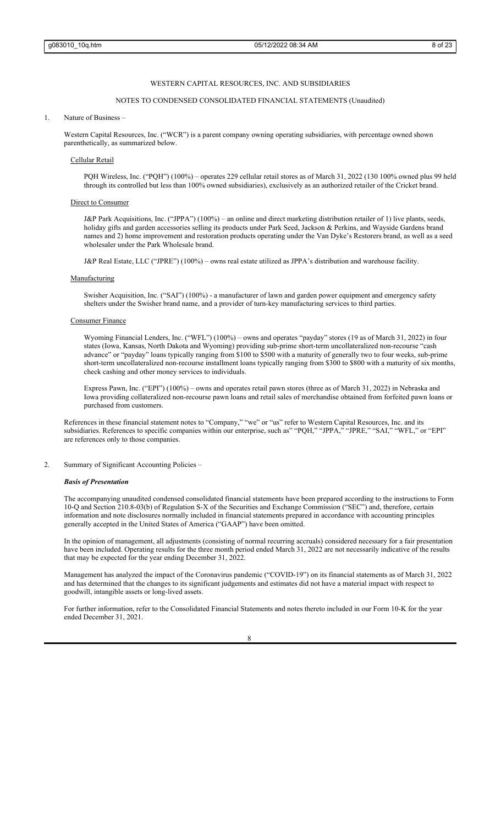#### WESTERN CAPITAL RESOURCES, INC. AND SUBSIDIARIES

### NOTES TO CONDENSED CONSOLIDATED FINANCIAL STATEMENTS (Unaudited)

#### 1. Nature of Business –

Western Capital Resources, Inc. ("WCR") is a parent company owning operating subsidiaries, with percentage owned shown parenthetically, as summarized below.

#### Cellular Retail

PQH Wireless, Inc. ("PQH") (100%) – operates 229 cellular retail stores as of March 31, 2022 (130 100% owned plus 99 held through its controlled but less than 100% owned subsidiaries), exclusively as an authorized retailer of the Cricket brand.

#### Direct to Consumer

J&P Park Acquisitions, Inc. ("JPPA") (100%) – an online and direct marketing distribution retailer of 1) live plants, seeds, holiday gifts and garden accessories selling its products under Park Seed, Jackson & Perkins, and Wayside Gardens brand names and 2) home improvement and restoration products operating under the Van Dyke's Restorers brand, as well as a seed wholesaler under the Park Wholesale brand.

J&P Real Estate, LLC ("JPRE") (100%) – owns real estate utilized as JPPA's distribution and warehouse facility.

#### **Manufacturing**

Swisher Acquisition, Inc. ("SAI") (100%) - a manufacturer of lawn and garden power equipment and emergency safety shelters under the Swisher brand name, and a provider of turn-key manufacturing services to third parties.

#### Consumer Finance

Wyoming Financial Lenders, Inc. ("WFL") (100%) – owns and operates "payday" stores (19 as of March 31, 2022) in four states (Iowa, Kansas, North Dakota and Wyoming) providing sub-prime short-term uncollateralized non-recourse "cash advance" or "payday" loans typically ranging from \$100 to \$500 with a maturity of generally two to four weeks, sub-prime short-term uncollateralized non-recourse installment loans typically ranging from \$300 to \$800 with a maturity of six months, check cashing and other money services to individuals.

Express Pawn, Inc. ("EPI") (100%) – owns and operates retail pawn stores (three as of March 31, 2022) in Nebraska and Iowa providing collateralized non-recourse pawn loans and retail sales of merchandise obtained from forfeited pawn loans or purchased from customers.

References in these financial statement notes to "Company," "we" or "us" refer to Western Capital Resources, Inc. and its subsidiaries. References to specific companies within our enterprise, such as" "PQH," "JPPA," "JPRE," "SAI," "WFL," or "EPI" are references only to those companies.

2. Summary of Significant Accounting Policies –

#### *Basis of Presentation*

The accompanying unaudited condensed consolidated financial statements have been prepared according to the instructions to Form 10-Q and Section 210.8-03(b) of Regulation S-X of the Securities and Exchange Commission ("SEC") and, therefore, certain information and note disclosures normally included in financial statements prepared in accordance with accounting principles generally accepted in the United States of America ("GAAP") have been omitted.

In the opinion of management, all adjustments (consisting of normal recurring accruals) considered necessary for a fair presentation have been included. Operating results for the three month period ended March 31, 2022 are not necessarily indicative of the results that may be expected for the year ending December 31, 2022.

Management has analyzed the impact of the Coronavirus pandemic ("COVID-19") on its financial statements as of March 31, 2022 and has determined that the changes to its significant judgements and estimates did not have a material impact with respect to goodwill, intangible assets or long-lived assets.

For further information, refer to the Consolidated Financial Statements and notes thereto included in our Form 10-K for the year ended December 31, 2021.

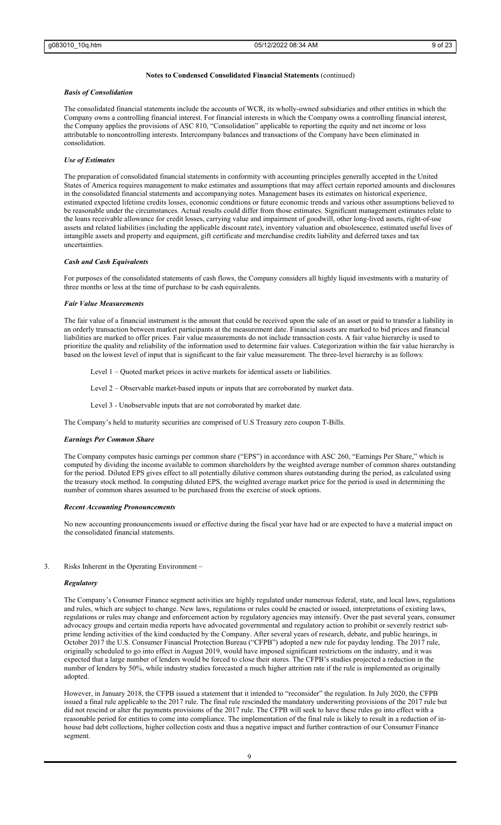#### **Notes to Condensed Consolidated Financial Statements** (continued)

#### *Basis of Consolidation*

The consolidated financial statements include the accounts of WCR, its wholly-owned subsidiaries and other entities in which the Company owns a controlling financial interest. For financial interests in which the Company owns a controlling financial interest, the Company applies the provisions of ASC 810, "Consolidation" applicable to reporting the equity and net income or loss attributable to noncontrolling interests. Intercompany balances and transactions of the Company have been eliminated in consolidation.

#### *Use of Estimates*

The preparation of consolidated financial statements in conformity with accounting principles generally accepted in the United States of America requires management to make estimates and assumptions that may affect certain reported amounts and disclosures in the consolidated financial statements and accompanying notes. Management bases its estimates on historical experience, estimated expected lifetime credits losses, economic conditions or future economic trends and various other assumptions believed to be reasonable under the circumstances. Actual results could differ from those estimates. Significant management estimates relate to the loans receivable allowance for credit losses, carrying value and impairment of goodwill, other long-lived assets, right-of-use assets and related liabilities (including the applicable discount rate), inventory valuation and obsolescence, estimated useful lives of intangible assets and property and equipment, gift certificate and merchandise credits liability and deferred taxes and tax uncertainties.

#### *Cash and Cash Equivalents*

For purposes of the consolidated statements of cash flows, the Company considers all highly liquid investments with a maturity of three months or less at the time of purchase to be cash equivalents.

#### *Fair Value Measurements*

The fair value of a financial instrument is the amount that could be received upon the sale of an asset or paid to transfer a liability in an orderly transaction between market participants at the measurement date. Financial assets are marked to bid prices and financial liabilities are marked to offer prices. Fair value measurements do not include transaction costs. A fair value hierarchy is used to prioritize the quality and reliability of the information used to determine fair values. Categorization within the fair value hierarchy is based on the lowest level of input that is significant to the fair value measurement. The three-level hierarchy is as follows:

Level 1 – Quoted market prices in active markets for identical assets or liabilities.

Level 2 – Observable market-based inputs or inputs that are corroborated by market data.

Level 3 - Unobservable inputs that are not corroborated by market date.

The Company's held to maturity securities are comprised of U.S Treasury zero coupon T-Bills.

#### *Earnings Per Common Share*

The Company computes basic earnings per common share ("EPS") in accordance with ASC 260, "Earnings Per Share," which is computed by dividing the income available to common shareholders by the weighted average number of common shares outstanding for the period. Diluted EPS gives effect to all potentially dilutive common shares outstanding during the period, as calculated using the treasury stock method. In computing diluted EPS, the weighted average market price for the period is used in determining the number of common shares assumed to be purchased from the exercise of stock options.

#### *Recent Accounting Pronouncements*

No new accounting pronouncements issued or effective during the fiscal year have had or are expected to have a material impact on the consolidated financial statements.

3. Risks Inherent in the Operating Environment –

#### *Regulatory*

The Company's Consumer Finance segment activities are highly regulated under numerous federal, state, and local laws, regulations and rules, which are subject to change. New laws, regulations or rules could be enacted or issued, interpretations of existing laws, regulations or rules may change and enforcement action by regulatory agencies may intensify. Over the past several years, consumer advocacy groups and certain media reports have advocated governmental and regulatory action to prohibit or severely restrict subprime lending activities of the kind conducted by the Company. After several years of research, debate, and public hearings, in October 2017 the U.S. Consumer Financial Protection Bureau ("CFPB") adopted a new rule for payday lending. The 2017 rule, originally scheduled to go into effect in August 2019, would have imposed significant restrictions on the industry, and it was expected that a large number of lenders would be forced to close their stores. The CFPB's studies projected a reduction in the number of lenders by 50%, while industry studies forecasted a much higher attrition rate if the rule is implemented as originally adopted.

However, in January 2018, the CFPB issued a statement that it intended to "reconsider" the regulation. In July 2020, the CFPB issued a final rule applicable to the 2017 rule. The final rule rescinded the mandatory underwriting provisions of the 2017 rule but did not rescind or alter the payments provisions of the 2017 rule. The CFPB will seek to have these rules go into effect with a reasonable period for entities to come into compliance. The implementation of the final rule is likely to result in a reduction of inhouse bad debt collections, higher collection costs and thus a negative impact and further contraction of our Consumer Finance segment.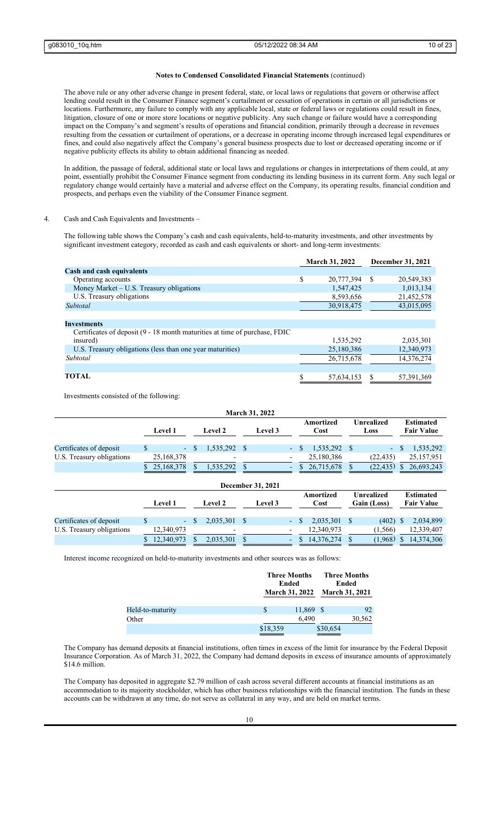### **Notes to Condensed Consolidated Financial Statements** (continued)

The above rule or any other adverse change in present federal, state, or local laws or regulations that govern or otherwise affect lending could result in the Consumer Finance segment's curtailment or cessation of operations in certain or all jurisdictions or locations. Furthermore, any failure to comply with any applicable local, state or federal laws or regulations could result in fines, litigation, closure of one or more store locations or negative publicity. Any such change or failure would have a corresponding impact on the Company's and segment's results of operations and financial condition, primarily through a decrease in revenues resulting from the cessation or curtailment of operations, or a decrease in operating income through increased legal expenditures or fines, and could also negatively affect the Company's general business prospects due to lost or decreased operating income or if negative publicity effects its ability to obtain additional financing as needed.

In addition, the passage of federal, additional state or local laws and regulations or changes in interpretations of them could, at any point, essentially prohibit the Consumer Finance segment from conducting its lending business in its current form. Any such legal or regulatory change would certainly have a material and adverse effect on the Company, its operating results, financial condition and prospects, and perhaps even the viability of the Consumer Finance segment.

#### 4. Cash and Cash Equivalents and Investments –

The following table shows the Company's cash and cash equivalents, held-to-maturity investments, and other investments by significant investment category, recorded as cash and cash equivalents or short- and long-term investments:

|                                                                            | <b>March 31, 2022</b> |      | December 31, 2021 |
|----------------------------------------------------------------------------|-----------------------|------|-------------------|
| <b>Cash and cash equivalents</b>                                           |                       |      |                   |
| Operating accounts                                                         | \$<br>20,777,394      | - \$ | 20,549,383        |
| Money Market – U.S. Treasury obligations                                   | 1,547,425             |      | 1,013,134         |
| U.S. Treasury obligations                                                  | 8,593,656             |      | 21,452,578        |
| Subtotal                                                                   | 30,918,475            |      | 43,015,095        |
|                                                                            |                       |      |                   |
| <b>Investments</b>                                                         |                       |      |                   |
| Certificates of deposit (9 - 18 month maturities at time of purchase, FDIC |                       |      |                   |
| insured)                                                                   | 1,535,292             |      | 2,035,301         |
| U.S. Treasury obligations (less than one year maturities)                  | 25,180,386            |      | 12,340,973        |
| Subtotal                                                                   | 26,715,678            |      | 14,376,274        |
|                                                                            |                       |      |                   |
| <b>TOTAL</b>                                                               | 57,634,153            | \$   | 57,391,369        |

Investments consisted of the following:

| <b>March 31, 2022</b>     |              |  |                     |               |         |    |    |                   |  |                           |       |                                       |
|---------------------------|--------------|--|---------------------|---------------|---------|----|----|-------------------|--|---------------------------|-------|---------------------------------------|
|                           | Level 1      |  | Level 2             |               | Level 3 |    |    | Amortized<br>Cost |  | <b>Unrealized</b><br>Loss |       | <b>Estimated</b><br><b>Fair Value</b> |
| Certificates of deposit   | S            |  | $-$ \$ 1,535,292 \$ |               |         | a. | S. | 1,535,292 \$      |  |                           | $- S$ | 1,535,292                             |
| U.S. Treasury obligations | 25,168,378   |  |                     |               |         |    |    | 25,180,386        |  | (22, 435)                 |       | 25,157,951                            |
|                           | \$25,168,378 |  | 1,535,292           | <sup>\$</sup> |         |    |    | \$26,715,678      |  | (22, 435)                 | Ж.    | 26,693,243                            |
| December 31–2021          |              |  |                     |               |         |    |    |                   |  |                           |       |                                       |

| Deceniber 91, 2021        |              |       |                          |         |  |  |                   |                  |                           |            |                                       |
|---------------------------|--------------|-------|--------------------------|---------|--|--|-------------------|------------------|---------------------------|------------|---------------------------------------|
|                           | Level 1      |       | Level 2                  | Level 3 |  |  | Amortized<br>Cost |                  | Unrealized<br>Gain (Loss) |            | <b>Estimated</b><br><b>Fair Value</b> |
| Certificates of deposit   |              | $-$ S | 2.035.301 \$             |         |  |  |                   | $-$ \$ 2,035,301 |                           | $(402)$ \$ | 2,034,899                             |
| U.S. Treasury obligations | 12,340,973   |       | $\overline{\phantom{0}}$ |         |  |  |                   | 12,340,973       |                           | (1, 566)   | 12,339,407                            |
|                           | \$12,340,973 |       | 2.035.301                |         |  |  |                   | 14,376,274       |                           | (1.968)    | 14,374,306                            |

Interest income recognized on held-to-maturity investments and other sources was as follows:

|                  | Ended    | <b>Three Months</b><br><b>March 31, 2022</b> | <b>Three Months</b><br><b>March 31, 2021</b> | Ended  |
|------------------|----------|----------------------------------------------|----------------------------------------------|--------|
| Held-to-maturity |          | 11,869 \$                                    |                                              | 92     |
| Other            |          | 6.490                                        |                                              | 30,562 |
|                  | \$18,359 |                                              | \$30,654                                     |        |

The Company has demand deposits at financial institutions, often times in excess of the limit for insurance by the Federal Deposit Insurance Corporation. As of March 31, 2022, the Company had demand deposits in excess of insurance amounts of approximately \$14.6 million.

The Company has deposited in aggregate \$2.79 million of cash across several different accounts at financial institutions as an accommodation to its majority stockholder, which has other business relationships with the financial institution. The funds in these accounts can be withdrawn at any time, do not serve as collateral in any way, and are held on market terms.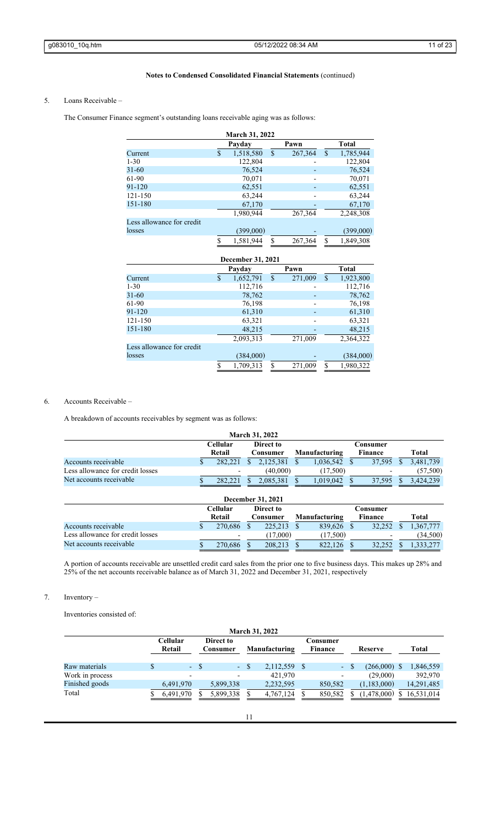### 5. Loans Receivable –

The Consumer Finance segment's outstanding loans receivable aging was as follows:

|                           |                    | <b>March 31, 2022</b> |                         |         |                    |              |
|---------------------------|--------------------|-----------------------|-------------------------|---------|--------------------|--------------|
|                           |                    | Payday                |                         | Pawn    |                    | <b>Total</b> |
| Current                   | $\mathbf{\hat{s}}$ | 1,518,580             | $\mathcal{S}$           | 267,364 | $\mathbf{\hat{s}}$ | 1,785,944    |
| $1 - 30$                  |                    | 122,804               |                         |         |                    | 122,804      |
| $31 - 60$                 |                    | 76,524                |                         |         |                    | 76,524       |
| 61-90                     |                    | 70,071                |                         |         |                    | 70,071       |
| 91-120                    |                    | 62,551                |                         |         |                    | 62,551       |
| 121-150                   |                    | 63,244                |                         |         |                    | 63,244       |
| 151-180                   |                    | 67,170                |                         |         |                    | 67,170       |
|                           |                    | 1,980,944             |                         | 267,364 |                    | 2,248,308    |
| Less allowance for credit |                    |                       |                         |         |                    |              |
| losses                    |                    | (399,000)             |                         |         |                    | (399,000)    |
|                           | \$                 | 1,581,944             | \$                      | 267,364 | \$                 | 1,849,308    |
|                           |                    |                       |                         |         |                    |              |
|                           |                    | December 31, 2021     |                         |         |                    |              |
|                           |                    | Payday                |                         | Pawn    |                    | <b>Total</b> |
| Current                   | $\mathbf{\hat{s}}$ | 1,652,791             | $\overline{\mathbb{S}}$ | 271,009 | \$                 | 1,923,800    |
| $1 - 30$                  |                    | 112,716               |                         |         |                    | 112,716      |
| $31 - 60$                 |                    | 78,762                |                         |         |                    | 78,762       |
| 61-90                     |                    | 76,198                |                         |         |                    | 76,198       |
| 91-120                    |                    | 61,310                |                         |         |                    | 61,310       |
| 121-150                   |                    | 63,321                |                         |         |                    | 63,321       |
| 151-180                   |                    | 48,215                |                         |         |                    | 48,215       |
|                           |                    | 2,093,313             |                         | 271,009 |                    | 2,364,322    |
| Less allowance for credit |                    |                       |                         |         |                    |              |
| losses                    |                    | (384,000)             |                         |         |                    | (384,000)    |

### 6. Accounts Receivable –

A breakdown of accounts receivables by segment was as follows:

| <b>March 31, 2022</b>            |  |                          |     |           |  |               |  |                          |     |           |
|----------------------------------|--|--------------------------|-----|-----------|--|---------------|--|--------------------------|-----|-----------|
|                                  |  | <b>Cellular</b>          |     | Direct to |  |               |  | Consumer                 |     |           |
|                                  |  | Retail                   |     | Consumer  |  | Manufacturing |  | <b>Finance</b>           |     | Total     |
| Accounts receivable              |  | 282,221                  |     | 2,125,381 |  | 1,036,542     |  | 37,595                   | S   | 3,481,739 |
| Less allowance for credit losses |  | $\overline{\phantom{a}}$ |     | (40,000)  |  | (17.500)      |  | $\overline{\phantom{a}}$ |     | (57,500)  |
| Net accounts receivable          |  | 282,221                  |     | 2.085.381 |  | 1.019.042     |  | 37.595                   | \$. | 3,424,239 |
|                                  |  | $\mathbf{r}$             | . . | 24.202    |  |               |  |                          |     |           |

 $\overline{\text{1,709,313}}$   $\overline{\text{s}}$  271,009  $\overline{\text{s}}$  1,980,322

| <b>December 31, 2021</b>         |                       |                          |  |          |  |               |  |                          |  |           |  |
|----------------------------------|-----------------------|--------------------------|--|----------|--|---------------|--|--------------------------|--|-----------|--|
|                                  | Cellular<br>Direct to |                          |  |          |  | Consumer      |  |                          |  |           |  |
|                                  |                       | Retail                   |  | Consumer |  | Manufacturing |  | <b>Finance</b>           |  | Total     |  |
| Accounts receivable              |                       | 270.686                  |  | 225, 213 |  | 839.626       |  | 32,252                   |  | 1.367.777 |  |
| Less allowance for credit losses |                       | $\overline{\phantom{0}}$ |  | (17,000) |  | (17.500)      |  | $\overline{\phantom{a}}$ |  | (34,500)  |  |
| Net accounts receivable          |                       | 270.686                  |  | 208,213  |  | 822,126       |  | 32.252                   |  | .333,277  |  |

A portion of accounts receivable are unsettled credit card sales from the prior one to five business days. This makes up 28% and 25% of the net accounts receivable balance as of March 31, 2022 and December 31, 2021, respectively

### 7. Inventory –

Inventories consisted of:

|                 | <b>March 31, 2022</b> |                 |  |                          |  |               |  |                     |  |                |  |            |
|-----------------|-----------------------|-----------------|--|--------------------------|--|---------------|--|---------------------|--|----------------|--|------------|
|                 |                       | <b>Cellular</b> |  | Direct to                |  |               |  | Consumer            |  |                |  |            |
|                 |                       | Retail          |  | Consumer                 |  | Manufacturing |  | Finance             |  | <b>Reserve</b> |  | Total      |
|                 |                       |                 |  |                          |  |               |  |                     |  |                |  |            |
| Raw materials   |                       | $- S$           |  | $-$ \$                   |  | 2,112,559     |  | $\omega_{\rm{eff}}$ |  | (266,000)      |  | 1,846,559  |
| Work in process |                       |                 |  | $\overline{\phantom{0}}$ |  | 421,970       |  |                     |  | (29,000)       |  | 392,970    |
| Finished goods  |                       | 6.491.970       |  | 5,899,338                |  | 2,232,595     |  | 850.582             |  | (1, 183, 000)  |  | 14,291,485 |
| Total           |                       | 6,491,970       |  | 5,899,338                |  | 4,767,124     |  | 850,582             |  | (1,478,000)    |  | 16,531,014 |
|                 |                       |                 |  |                          |  |               |  |                     |  |                |  |            |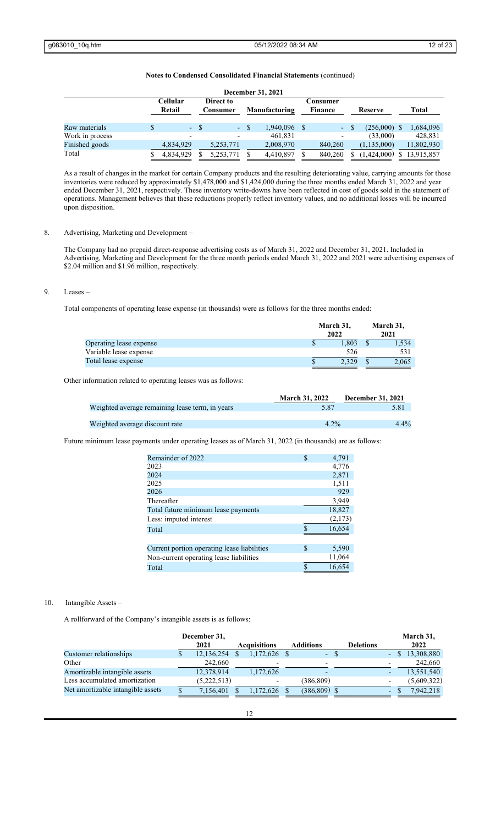### **Notes to Condensed Consolidated Financial Statements** (continued)

| December 31, 2021 |  |                          |       |                       |        |               |  |                            |                |            |
|-------------------|--|--------------------------|-------|-----------------------|--------|---------------|--|----------------------------|----------------|------------|
|                   |  | Cellular<br>Retail       |       | Direct to<br>Consumer |        | Manufacturing |  | Consumer<br><b>Finance</b> | Reserve        | Total      |
| Raw materials     |  |                          | $- S$ |                       | $-$ \$ | 1,940,096 \$  |  | - \$                       | $(256,000)$ \$ | 1,684,096  |
| Work in process   |  | $\overline{\phantom{a}}$ |       |                       |        | 461.831       |  |                            | (33,000)       | 428,831    |
| Finished goods    |  | 4,834,929                |       | 5, 253, 771           |        | 2,008,970     |  | 840,260                    | (1, 135, 000)  | 11,802,930 |
| Total             |  | 4,834,929                |       | 5,253,771             |        | 4,410,897     |  | 840,260                    | (1,424,000)    | 13,915,857 |

As a result of changes in the market for certain Company products and the resulting deteriorating value, carrying amounts for those inventories were reduced by approximately \$1,478,000 and \$1,424,000 during the three months ended March 31, 2022 and year ended December 31, 2021, respectively. These inventory write-downs have been reflected in cost of goods sold in the statement of operations. Management believes that these reductions properly reflect inventory values, and no additional losses will be incurred upon disposition.

### 8. Advertising, Marketing and Development –

The Company had no prepaid direct-response advertising costs as of March 31, 2022 and December 31, 2021. Included in Advertising, Marketing and Development for the three month periods ended March 31, 2022 and 2021 were advertising expenses of \$2.04 million and \$1.96 million, respectively.

#### 9. Leases –

Total components of operating lease expense (in thousands) were as follows for the three months ended:

|                         | March 31,<br>2022 | March 31,<br>2021 |
|-------------------------|-------------------|-------------------|
| Operating lease expense | 1.803             | .534              |
| Variable lease expense  | 526               | 531               |
| Total lease expense     | 2.329             | 2,065             |

Other information related to operating leases was as follows:

|                                                 | <b>March 31, 2022</b> | <b>December 31, 2021</b> |
|-------------------------------------------------|-----------------------|--------------------------|
| Weighted average remaining lease term, in years |                       | 5.81                     |
|                                                 |                       |                          |
| Weighted average discount rate                  | $4.2\%$               | 4.4%                     |

Future minimum lease payments under operating leases as of March 31, 2022 (in thousands) are as follows:

| Remainder of 2022                           | S  | 4,791   |
|---------------------------------------------|----|---------|
| 2023                                        |    | 4,776   |
| 2024                                        |    | 2,871   |
| 2025                                        |    | 1,511   |
| 2026                                        |    | 929     |
| Thereafter                                  |    | 3,949   |
| Total future minimum lease payments         |    | 18,827  |
| Less: imputed interest                      |    | (2,173) |
| Total                                       | ¢  | 16,654  |
|                                             |    |         |
| Current portion operating lease liabilities | \$ | 5,590   |
| Non-current operating lease liabilities     |    | 11,064  |
| Total                                       |    | 16,654  |

### 10. Intangible Assets –

A rollforward of the Company's intangible assets is as follows:

|                                   | December 31, |                          |                  |                  |                          | March 31,   |
|-----------------------------------|--------------|--------------------------|------------------|------------------|--------------------------|-------------|
|                                   | 2021         | <b>Acquisitions</b>      | <b>Additions</b> | <b>Deletions</b> |                          | 2022        |
| Customer relationships            | 12,136,254   | 1,172,626                | e.               |                  | $\blacksquare$           | 13,308,880  |
| Other                             | 242,660      | $\overline{\phantom{a}}$ |                  |                  | $\overline{\phantom{a}}$ | 242,660     |
| Amortizable intangible assets     | 12,378,914   | 1,172,626                |                  |                  | $\overline{\phantom{0}}$ | 13,551,540  |
| Less accumulated amortization     | (5,222,513)  | $\overline{\phantom{a}}$ | (386, 809)       |                  |                          | (5,609,322) |
| Net amortizable intangible assets | 7,156,401    | 1.172.626                | $(386, 809)$ \$  |                  | $\overline{\phantom{a}}$ | 7.942.218   |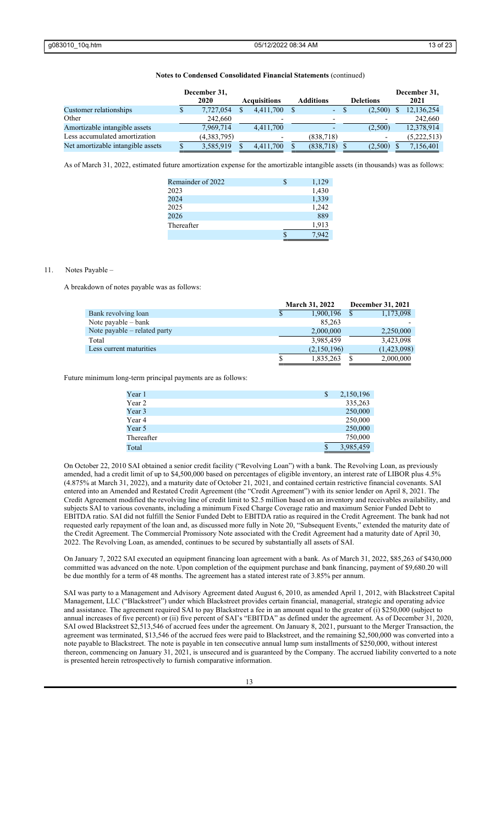#### **Notes to Condensed Consolidated Financial Statements** (continued)

|                                   | December 31, |                     |                  |     |                  | December 31, |
|-----------------------------------|--------------|---------------------|------------------|-----|------------------|--------------|
|                                   | 2020         | <b>Acquisitions</b> | <b>Additions</b> |     | <b>Deletions</b> | 2021         |
| Customer relationships            | 7,727,054    | 4.411.700           | <b>A</b>         | - S | (2.500)          | 12,136,254   |
| Other                             | 242,660      |                     |                  |     |                  | 242,660      |
| Amortizable intangible assets     | 7,969,714    | 4,411,700           |                  |     | (2,500)          | 12,378,914   |
| Less accumulated amortization     | (4,383,795)  |                     | (838,718)        |     |                  | (5,222,513)  |
| Net amortizable intangible assets | 3,585,919    | 4.411.700           | (838,718)        |     | (2.500)          | 7,156,401    |

As of March 31, 2022, estimated future amortization expense for the amortizable intangible assets (in thousands) was as follows:

| Remainder of 2022 | 1,129 |
|-------------------|-------|
| 2023              | 1,430 |
| 2024              | 1,339 |
| 2025              | 1,242 |
| 2026              | 889   |
| Thereafter        | 1,913 |
|                   | 7 942 |

#### 11. Notes Payable –

A breakdown of notes payable was as follows:

|                              | <b>March 31, 2022</b> | December 31, 2021 |             |
|------------------------------|-----------------------|-------------------|-------------|
| Bank revolving loan          | 1,900,196             |                   | 1,173,098   |
| Note payable $-$ bank        |                       | 85,263            |             |
| Note payable – related party | 2,000,000             |                   | 2,250,000   |
| Total                        | 3,985,459             |                   | 3,423,098   |
| Less current maturities      | (2,150,196)           |                   | (1,423,098) |
|                              | 1,835,263             |                   | 2,000,000   |

Future minimum long-term principal payments are as follows:

| Year 1     | \$<br>2,150,196 |
|------------|-----------------|
| Year 2     | 335,263         |
| Year 3     | 250,000         |
| Year 4     | 250,000         |
| Year 5     | 250,000         |
| Thereafter | 750,000         |
| Total      | 3,985,459       |

On October 22, 2010 SAI obtained a senior credit facility ("Revolving Loan") with a bank. The Revolving Loan, as previously amended, had a credit limit of up to \$4,500,000 based on percentages of eligible inventory, an interest rate of LIBOR plus 4.5% (4.875% at March 31, 2022), and a maturity date of October 21, 2021, and contained certain restrictive financial covenants. SAI entered into an Amended and Restated Credit Agreement (the "Credit Agreement") with its senior lender on April 8, 2021. The Credit Agreement modified the revolving line of credit limit to \$2.5 million based on an inventory and receivables availability, and subjects SAI to various covenants, including a minimum Fixed Charge Coverage ratio and maximum Senior Funded Debt to EBITDA ratio. SAI did not fulfill the Senior Funded Debt to EBITDA ratio as required in the Credit Agreement. The bank had not requested early repayment of the loan and, as discussed more fully in Note 20, "Subsequent Events," extended the maturity date of the Credit Agreement. The Commercial Promissory Note associated with the Credit Agreement had a maturity date of April 30, 2022. The Revolving Loan, as amended, continues to be secured by substantially all assets of SAI.

On January 7, 2022 SAI executed an equipment financing loan agreement with a bank. As of March 31, 2022, \$85,263 of \$430,000 committed was advanced on the note. Upon completion of the equipment purchase and bank financing, payment of \$9,680.20 will be due monthly for a term of 48 months. The agreement has a stated interest rate of 3.85% per annum.

SAI was party to a Management and Advisory Agreement dated August 6, 2010, as amended April 1, 2012, with Blackstreet Capital Management, LLC ("Blackstreet") under which Blackstreet provides certain financial, managerial, strategic and operating advice and assistance. The agreement required SAI to pay Blackstreet a fee in an amount equal to the greater of (i) \$250,000 (subject to annual increases of five percent) or (ii) five percent of SAI's "EBITDA" as defined under the agreement. As of December 31, 2020, SAI owed Blackstreet \$2,513,546 of accrued fees under the agreement. On January 8, 2021, pursuant to the Merger Transaction, the agreement was terminated, \$13,546 of the accrued fees were paid to Blackstreet, and the remaining \$2,500,000 was converted into a note payable to Blackstreet. The note is payable in ten consecutive annual lump sum installments of \$250,000, without interest thereon, commencing on January 31, 2021, is unsecured and is guaranteed by the Company. The accrued liability converted to a note is presented herein retrospectively to furnish comparative information.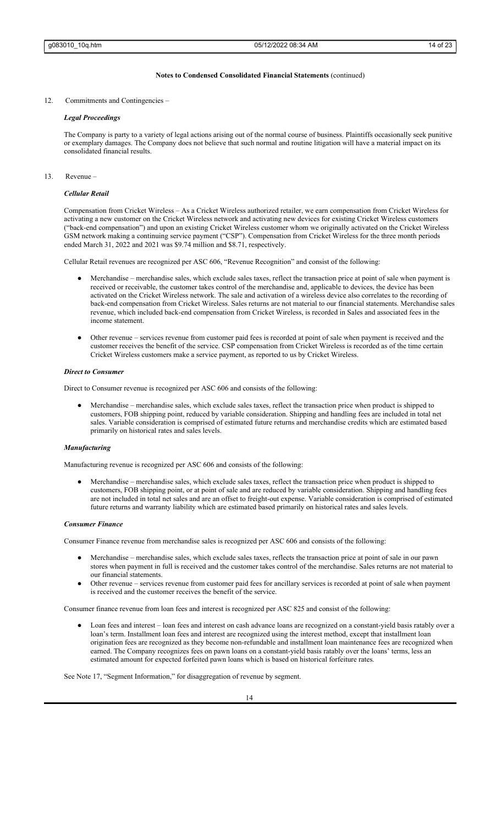### 12. Commitments and Contingencies –

#### *Legal Proceedings*

The Company is party to a variety of legal actions arising out of the normal course of business. Plaintiffs occasionally seek punitive or exemplary damages. The Company does not believe that such normal and routine litigation will have a material impact on its consolidated financial results.

#### 13. Revenue –

#### *Cellular Retail*

Compensation from Cricket Wireless – As a Cricket Wireless authorized retailer, we earn compensation from Cricket Wireless for activating a new customer on the Cricket Wireless network and activating new devices for existing Cricket Wireless customers ("back-end compensation") and upon an existing Cricket Wireless customer whom we originally activated on the Cricket Wireless GSM network making a continuing service payment ("CSP"). Compensation from Cricket Wireless for the three month periods ended March 31, 2022 and 2021 was \$9.74 million and \$8.71, respectively.

Cellular Retail revenues are recognized per ASC 606, "Revenue Recognition" and consist of the following:

- Merchandise merchandise sales, which exclude sales taxes, reflect the transaction price at point of sale when payment is received or receivable, the customer takes control of the merchandise and, applicable to devices, the device has been activated on the Cricket Wireless network. The sale and activation of a wireless device also correlates to the recording of back-end compensation from Cricket Wireless. Sales returns are not material to our financial statements. Merchandise sales revenue, which included back-end compensation from Cricket Wireless, is recorded in Sales and associated fees in the income statement.
- Other revenue services revenue from customer paid fees is recorded at point of sale when payment is received and the customer receives the benefit of the service. CSP compensation from Cricket Wireless is recorded as of the time certain Cricket Wireless customers make a service payment, as reported to us by Cricket Wireless.

### *Direct to Consumer*

Direct to Consumer revenue is recognized per ASC 606 and consists of the following:

Merchandise – merchandise sales, which exclude sales taxes, reflect the transaction price when product is shipped to customers, FOB shipping point, reduced by variable consideration. Shipping and handling fees are included in total net sales. Variable consideration is comprised of estimated future returns and merchandise credits which are estimated based primarily on historical rates and sales levels.

#### *Manufacturing*

Manufacturing revenue is recognized per ASC 606 and consists of the following:

Merchandise – merchandise sales, which exclude sales taxes, reflect the transaction price when product is shipped to customers, FOB shipping point, or at point of sale and are reduced by variable consideration. Shipping and handling fees are not included in total net sales and are an offset to freight-out expense. Variable consideration is comprised of estimated future returns and warranty liability which are estimated based primarily on historical rates and sales levels.

#### *Consumer Finance*

Consumer Finance revenue from merchandise sales is recognized per ASC 606 and consists of the following:

- Merchandise merchandise sales, which exclude sales taxes, reflects the transaction price at point of sale in our pawn stores when payment in full is received and the customer takes control of the merchandise. Sales returns are not material to our financial statements.
- Other revenue services revenue from customer paid fees for ancillary services is recorded at point of sale when payment is received and the customer receives the benefit of the service.

Consumer finance revenue from loan fees and interest is recognized per ASC 825 and consist of the following:

Loan fees and interest – loan fees and interest on cash advance loans are recognized on a constant-yield basis ratably over a loan's term. Installment loan fees and interest are recognized using the interest method, except that installment loan origination fees are recognized as they become non-refundable and installment loan maintenance fees are recognized when earned. The Company recognizes fees on pawn loans on a constant-yield basis ratably over the loans' terms, less an estimated amount for expected forfeited pawn loans which is based on historical forfeiture rates.

See Note 17, "Segment Information," for disaggregation of revenue by segment.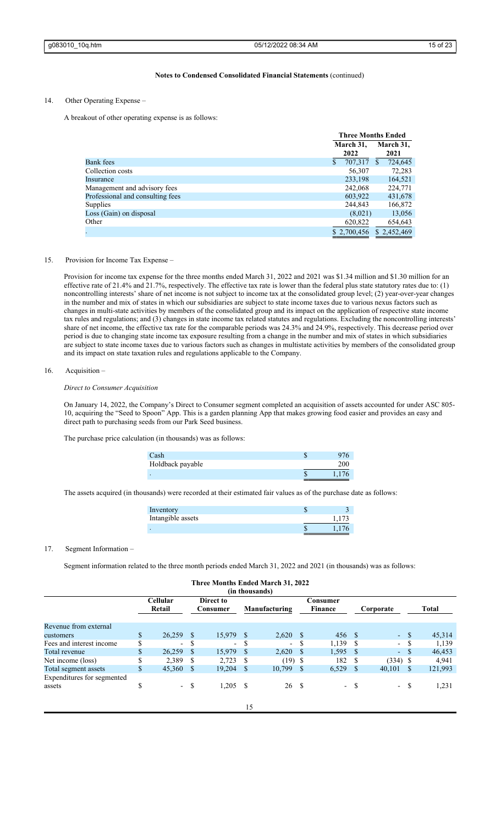#### 14. Other Operating Expense –

A breakout of other operating expense is as follows:

|                                  | <b>Three Months Ended</b> |               |
|----------------------------------|---------------------------|---------------|
|                                  | March 31,                 | March 31,     |
|                                  | 2022                      | 2021          |
| Bank fees                        | 707,317<br>S              | 724,645<br>S. |
| Collection costs                 | 56,307                    | 72,283        |
| Insurance                        | 233,198                   | 164,521       |
| Management and advisory fees     | 242,068                   | 224,771       |
| Professional and consulting fees | 603,922                   | 431,678       |
| <b>Supplies</b>                  | 244,843                   | 166,872       |
| Loss (Gain) on disposal          | (8,021)                   | 13,056        |
| Other                            | 620,822                   | 654,643       |
|                                  | \$2,700,456               | \$2,452,469   |

#### 15. Provision for Income Tax Expense –

Provision for income tax expense for the three months ended March 31, 2022 and 2021 was \$1.34 million and \$1.30 million for an effective rate of 21.4% and 21.7%, respectively. The effective tax rate is lower than the federal plus state statutory rates due to: (1) noncontrolling interests' share of net income is not subject to income tax at the consolidated group level; (2) year-over-year changes in the number and mix of states in which our subsidiaries are subject to state income taxes due to various nexus factors such as changes in multi-state activities by members of the consolidated group and its impact on the application of respective state income tax rules and regulations; and (3) changes in state income tax related statutes and regulations. Excluding the noncontrolling interests' share of net income, the effective tax rate for the comparable periods was 24.3% and 24.9%, respectively. This decrease period over period is due to changing state income tax exposure resulting from a change in the number and mix of states in which subsidiaries are subject to state income taxes due to various factors such as changes in multistate activities by members of the consolidated group and its impact on state taxation rules and regulations applicable to the Company.

#### 16. Acquisition –

#### *Direct to Consumer Acquisition*

On January 14, 2022, the Company's Direct to Consumer segment completed an acquisition of assets accounted for under ASC 805- 10, acquiring the "Seed to Spoon" App. This is a garden planning App that makes growing food easier and provides an easy and direct path to purchasing seeds from our Park Seed business.

The purchase price calculation (in thousands) was as follows:

| Cash             |       |
|------------------|-------|
| Holdback payable | 200   |
| $\bullet$        | 1.176 |

The assets acquired (in thousands) were recorded at their estimated fair values as of the purchase date as follows:

| Inventory         |         |
|-------------------|---------|
| Intangible assets |         |
|                   | 1 1 7 6 |

### 17. Segment Information –

Segment information related to the three month periods ended March 31, 2022 and 2021 (in thousands) was as follows:

| Three Months Ended March 31, 2022<br>(in thousands) |    |                           |        |                          |              |               |      |                            |              |                          |               |              |
|-----------------------------------------------------|----|---------------------------|--------|--------------------------|--------------|---------------|------|----------------------------|--------------|--------------------------|---------------|--------------|
|                                                     |    | <b>Cellular</b><br>Retail |        | Direct to<br>Consumer    |              | Manufacturing |      | Consumer<br><b>Finance</b> |              | Corporate                |               | <b>Total</b> |
| Revenue from external                               |    |                           |        |                          |              |               |      |                            |              |                          |               |              |
| customers                                           | \$ | 26,259                    | - \$   | 15,979                   | S            | 2,620         | - \$ | 456                        | - \$         | $-$ \$                   |               | 45,314       |
| Fees and interest income                            |    | $\overline{\phantom{0}}$  | \$     | $\overline{\phantom{a}}$ | \$           | $\sim$        | \$   | 1,139                      | \$.          | $\overline{\phantom{a}}$ | <sup>\$</sup> | 1,139        |
| Total revenue                                       | \$ | 26,259                    | - \$   | 15,979                   | <sup>S</sup> | 2,620         | - \$ | 1,595                      | -S           | $-$ \$                   |               | 46,453       |
| Net income (loss)                                   |    | 2,389                     | -S     | 2,723                    | -S           | $(19)$ \$     |      | 182                        | \$.          | $(334)$ \$               |               | 4,941        |
| Total segment assets                                | \$ | 45,360 \$                 |        | 19,204                   | <sup>S</sup> | 10,799        | - \$ | 6,529                      | <sup>S</sup> | 40,101                   | S             | 121,993      |
| Expenditures for segmented                          |    |                           |        |                          |              |               |      |                            |              |                          |               |              |
| assets                                              | \$ |                           | $-$ \$ | 1,205                    | S            | 26            | -S   | $\sim$                     | S            | $-$ \$                   |               | 1,231        |
|                                                     |    |                           |        |                          | 15           |               |      |                            |              |                          |               |              |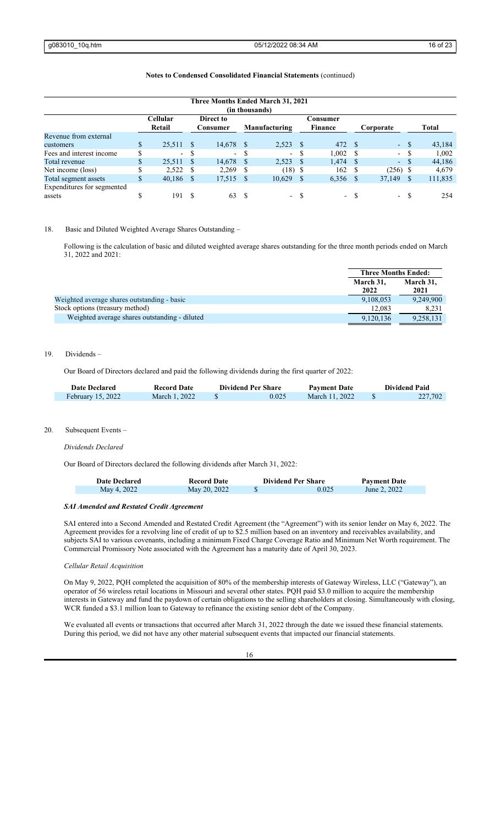| <b>Three Months Ended March 31, 2021</b><br>(in thousands) |   |                           |   |                          |      |                          |      |                     |      |                          |               |              |
|------------------------------------------------------------|---|---------------------------|---|--------------------------|------|--------------------------|------|---------------------|------|--------------------------|---------------|--------------|
|                                                            |   | <b>Cellular</b><br>Retail |   | Direct to<br>Consumer    |      | <b>Manufacturing</b>     |      | Consumer<br>Finance |      | Corporate                |               | <b>Total</b> |
| Revenue from external                                      |   |                           |   |                          |      |                          |      |                     |      |                          |               |              |
| customers                                                  | S | 25,511                    | S | 14,678                   |      | 2,523                    | - \$ | 472 \$              |      | $-$ \$                   |               | 43,184       |
| Fees and interest income                                   |   | $\overline{\phantom{0}}$  | S | $\overline{\phantom{0}}$ | ъ    | $\overline{\phantom{0}}$ |      | 1.002               |      | $\overline{\phantom{0}}$ | S             | 1,002        |
| Total revenue                                              |   | 25,511                    | S | 14,678                   | - \$ | 2,523                    | -S   | 1.474               | - \$ | ٠.                       | <sup>\$</sup> | 44,186       |
| Net income (loss)                                          |   | 2.522                     | S | 2.269                    | - \$ | $(18)$ \$                |      | 162                 |      | $(256)$ \$               |               | 4.679        |
| Total segment assets                                       |   | 40,186                    | S | 17,515                   |      | 10,629                   |      | $6,356$ \$          |      | 37,149                   |               | 111,835      |
| Expenditures for segmented<br>assets                       |   | 191                       | S | 63                       |      | $\overline{\phantom{0}}$ |      | $-$                 |      | $\overline{\phantom{a}}$ |               | 254          |

#### 18. Basic and Diluted Weighted Average Shares Outstanding –

Following is the calculation of basic and diluted weighted average shares outstanding for the three month periods ended on March 31, 2022 and 2021:

|                                               | <b>Three Months Ended:</b> |                   |
|-----------------------------------------------|----------------------------|-------------------|
|                                               | March 31,<br>2022          | March 31,<br>2021 |
| Weighted average shares outstanding - basic   | 9.108.053                  | 9,249,900         |
| Stock options (treasury method)               | 12,083                     | 8.231             |
| Weighted average shares outstanding - diluted | 9,120,136                  | 9,258,131         |

#### 19. Dividends –

Our Board of Directors declared and paid the following dividends during the first quarter of 2022:

| <b>Date Declared</b> | <b>Record Date</b> | <b>Dividend Per Share</b> | <b>Payment Date</b> | Dividend Paid |
|----------------------|--------------------|---------------------------|---------------------|---------------|
| February 15, 2022    | March 1, 2022      | 0.025                     | March 11, 2022      | 227,702       |

#### 20. Subsequent Events –

#### *Dividends Declared*

Our Board of Directors declared the following dividends after March 31, 2022:

| <b>Date Declared</b> | <b>Record Date</b> | <b>Dividend Per Share</b> |       | <b>Payment Date</b> |
|----------------------|--------------------|---------------------------|-------|---------------------|
| May 4, 2022          | May 20, 2022       |                           | 0.025 | June 2, 2022        |

### *SAI Amended and Restated Credit Agreement*

SAI entered into a Second Amended and Restated Credit Agreement (the "Agreement") with its senior lender on May 6, 2022. The Agreement provides for a revolving line of credit of up to \$2.5 million based on an inventory and receivables availability, and subjects SAI to various covenants, including a minimum Fixed Charge Coverage Ratio and Minimum Net Worth requirement. The Commercial Promissory Note associated with the Agreement has a maturity date of April 30, 2023.

### *Cellular Retail Acquisition*

On May 9, 2022, PQH completed the acquisition of 80% of the membership interests of Gateway Wireless, LLC ("Gateway"), an operator of 56 wireless retail locations in Missouri and several other states. PQH paid \$3.0 million to acquire the membership interests in Gateway and fund the paydown of certain obligations to the selling shareholders at closing. Simultaneously with closing, WCR funded a \$3.1 million loan to Gateway to refinance the existing senior debt of the Company.

We evaluated all events or transactions that occurred after March 31, 2022 through the date we issued these financial statements. During this period, we did not have any other material subsequent events that impacted our financial statements.

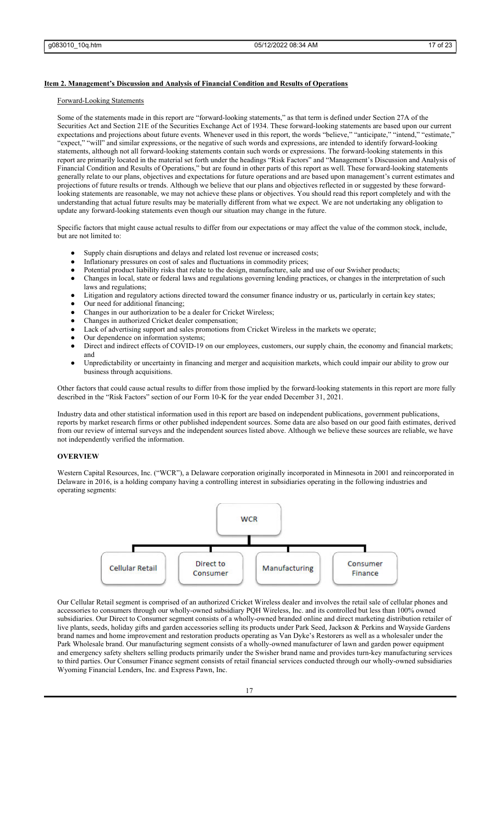#### **Item 2. Management's Discussion and Analysis of Financial Condition and Results of Operations**

#### Forward-Looking Statements

Some of the statements made in this report are "forward-looking statements," as that term is defined under Section 27A of the Securities Act and Section 21E of the Securities Exchange Act of 1934. These forward-looking statements are based upon our current expectations and projections about future events. Whenever used in this report, the words "believe," "anticipate," "intend," "estimate," "expect," "will" and similar expressions, or the negative of such words and expressions, are intended to identify forward-looking statements, although not all forward-looking statements contain such words or expressions. The forward-looking statements in this report are primarily located in the material set forth under the headings "Risk Factors" and "Management's Discussion and Analysis of Financial Condition and Results of Operations," but are found in other parts of this report as well. These forward-looking statements generally relate to our plans, objectives and expectations for future operations and are based upon management's current estimates and projections of future results or trends. Although we believe that our plans and objectives reflected in or suggested by these forwardlooking statements are reasonable, we may not achieve these plans or objectives. You should read this report completely and with the understanding that actual future results may be materially different from what we expect. We are not undertaking any obligation to update any forward-looking statements even though our situation may change in the future.

Specific factors that might cause actual results to differ from our expectations or may affect the value of the common stock, include, but are not limited to:

- Supply chain disruptions and delays and related lost revenue or increased costs;
- Inflationary pressures on cost of sales and fluctuations in commodity prices;
- Potential product liability risks that relate to the design, manufacture, sale and use of our Swisher products;
- Changes in local, state or federal laws and regulations governing lending practices, or changes in the interpretation of such laws and regulations;
- Litigation and regulatory actions directed toward the consumer finance industry or us, particularly in certain key states;
- Our need for additional financing;
- Changes in our authorization to be a dealer for Cricket Wireless;
- Changes in authorized Cricket dealer compensation;
- Lack of advertising support and sales promotions from Cricket Wireless in the markets we operate;
- Our dependence on information systems;
- Direct and indirect effects of COVID-19 on our employees, customers, our supply chain, the economy and financial markets; and
- Unpredictability or uncertainty in financing and merger and acquisition markets, which could impair our ability to grow our business through acquisitions.

Other factors that could cause actual results to differ from those implied by the forward-looking statements in this report are more fully described in the "Risk Factors" section of our Form 10-K for the year ended December 31, 2021.

Industry data and other statistical information used in this report are based on independent publications, government publications, reports by market research firms or other published independent sources. Some data are also based on our good faith estimates, derived from our review of internal surveys and the independent sources listed above. Although we believe these sources are reliable, we have not independently verified the information.

#### **OVERVIEW**

Western Capital Resources, Inc. ("WCR"), a Delaware corporation originally incorporated in Minnesota in 2001 and reincorporated in Delaware in 2016, is a holding company having a controlling interest in subsidiaries operating in the following industries and operating segments:



Our Cellular Retail segment is comprised of an authorized Cricket Wireless dealer and involves the retail sale of cellular phones and accessories to consumers through our wholly-owned subsidiary PQH Wireless, Inc. and its controlled but less than 100% owned subsidiaries. Our Direct to Consumer segment consists of a wholly-owned branded online and direct marketing distribution retailer of live plants, seeds, holiday gifts and garden accessories selling its products under Park Seed, Jackson & Perkins and Wayside Gardens brand names and home improvement and restoration products operating as Van Dyke's Restorers as well as a wholesaler under the Park Wholesale brand. Our manufacturing segment consists of a wholly-owned manufacturer of lawn and garden power equipment and emergency safety shelters selling products primarily under the Swisher brand name and provides turn-key manufacturing services to third parties. Our Consumer Finance segment consists of retail financial services conducted through our wholly-owned subsidiaries Wyoming Financial Lenders, Inc. and Express Pawn, Inc.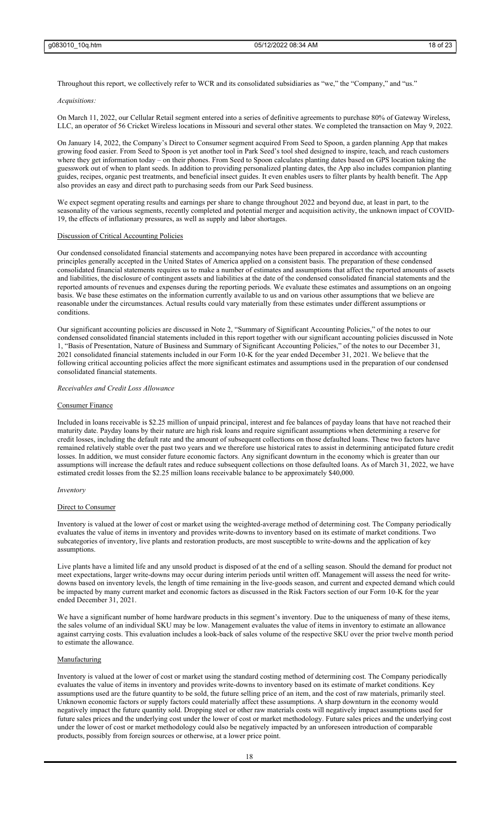Throughout this report, we collectively refer to WCR and its consolidated subsidiaries as "we," the "Company," and "us."

#### *Acquisitions:*

On March 11, 2022, our Cellular Retail segment entered into a series of definitive agreements to purchase 80% of Gateway Wireless, LLC, an operator of 56 Cricket Wireless locations in Missouri and several other states. We completed the transaction on May 9, 2022.

On January 14, 2022, the Company's Direct to Consumer segment acquired From Seed to Spoon, a garden planning App that makes growing food easier. From Seed to Spoon is yet another tool in Park Seed's tool shed designed to inspire, teach, and reach customers where they get information today – on their phones. From Seed to Spoon calculates planting dates based on GPS location taking the guesswork out of when to plant seeds. In addition to providing personalized planting dates, the App also includes companion planting guides, recipes, organic pest treatments, and beneficial insect guides. It even enables users to filter plants by health benefit. The App also provides an easy and direct path to purchasing seeds from our Park Seed business.

We expect segment operating results and earnings per share to change throughout 2022 and beyond due, at least in part, to the seasonality of the various segments, recently completed and potential merger and acquisition activity, the unknown impact of COVID-19, the effects of inflationary pressures, as well as supply and labor shortages.

### Discussion of Critical Accounting Policies

Our condensed consolidated financial statements and accompanying notes have been prepared in accordance with accounting principles generally accepted in the United States of America applied on a consistent basis. The preparation of these condensed consolidated financial statements requires us to make a number of estimates and assumptions that affect the reported amounts of assets and liabilities, the disclosure of contingent assets and liabilities at the date of the condensed consolidated financial statements and the reported amounts of revenues and expenses during the reporting periods. We evaluate these estimates and assumptions on an ongoing basis. We base these estimates on the information currently available to us and on various other assumptions that we believe are reasonable under the circumstances. Actual results could vary materially from these estimates under different assumptions or conditions.

Our significant accounting policies are discussed in Note 2, "Summary of Significant Accounting Policies," of the notes to our condensed consolidated financial statements included in this report together with our significant accounting policies discussed in Note 1, "Basis of Presentation, Nature of Business and Summary of Significant Accounting Policies," of the notes to our December 31, 2021 consolidated financial statements included in our Form 10-K for the year ended December 31, 2021. We believe that the following critical accounting policies affect the more significant estimates and assumptions used in the preparation of our condensed consolidated financial statements.

#### *Receivables and Credit Loss Allowance*

#### Consumer Finance

Included in loans receivable is \$2.25 million of unpaid principal, interest and fee balances of payday loans that have not reached their maturity date. Payday loans by their nature are high risk loans and require significant assumptions when determining a reserve for credit losses, including the default rate and the amount of subsequent collections on those defaulted loans. These two factors have remained relatively stable over the past two years and we therefore use historical rates to assist in determining anticipated future credit losses. In addition, we must consider future economic factors. Any significant downturn in the economy which is greater than our assumptions will increase the default rates and reduce subsequent collections on those defaulted loans. As of March 31, 2022, we have estimated credit losses from the \$2.25 million loans receivable balance to be approximately \$40,000.

#### *Inventory*

#### Direct to Consumer

Inventory is valued at the lower of cost or market using the weighted-average method of determining cost. The Company periodically evaluates the value of items in inventory and provides write-downs to inventory based on its estimate of market conditions. Two subcategories of inventory, live plants and restoration products, are most susceptible to write-downs and the application of key assumptions.

Live plants have a limited life and any unsold product is disposed of at the end of a selling season. Should the demand for product not meet expectations, larger write-downs may occur during interim periods until written off. Management will assess the need for writedowns based on inventory levels, the length of time remaining in the live-goods season, and current and expected demand which could be impacted by many current market and economic factors as discussed in the Risk Factors section of our Form 10-K for the year ended December 31, 2021.

We have a significant number of home hardware products in this segment's inventory. Due to the uniqueness of many of these items, the sales volume of an individual SKU may be low. Management evaluates the value of items in inventory to estimate an allowance against carrying costs. This evaluation includes a look-back of sales volume of the respective SKU over the prior twelve month period to estimate the allowance.

#### Manufacturing

Inventory is valued at the lower of cost or market using the standard costing method of determining cost. The Company periodically evaluates the value of items in inventory and provides write-downs to inventory based on its estimate of market conditions. Key assumptions used are the future quantity to be sold, the future selling price of an item, and the cost of raw materials, primarily steel. Unknown economic factors or supply factors could materially affect these assumptions. A sharp downturn in the economy would negatively impact the future quantity sold. Dropping steel or other raw materials costs will negatively impact assumptions used for future sales prices and the underlying cost under the lower of cost or market methodology. Future sales prices and the underlying cost under the lower of cost or market methodology could also be negatively impacted by an unforeseen introduction of comparable products, possibly from foreign sources or otherwise, at a lower price point.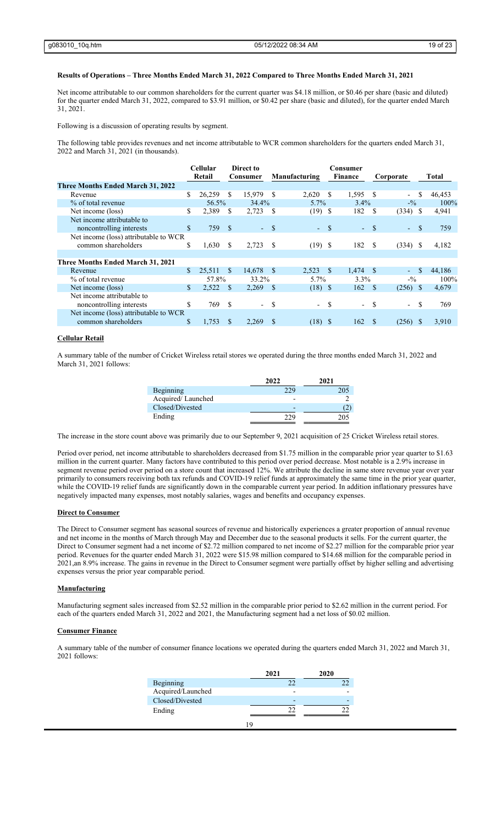### **Results of Operations – Three Months Ended March 31, 2022 Compared to Three Months Ended March 31, 2021**

Net income attributable to our common shareholders for the current quarter was \$4.18 million, or \$0.46 per share (basic and diluted) for the quarter ended March 31, 2022, compared to \$3.91 million, or \$0.42 per share (basic and diluted), for the quarter ended March 31, 2021.

Following is a discussion of operating results by segment.

The following table provides revenues and net income attributable to WCR common shareholders for the quarters ended March 31, 2022 and March 31, 2021 (in thousands).

|                                          |               | <b>Cellular</b> |              | Direct to                |               |                |      | Consumer                 |          |                |               |        |
|------------------------------------------|---------------|-----------------|--------------|--------------------------|---------------|----------------|------|--------------------------|----------|----------------|---------------|--------|
|                                          |               | Retail          |              | Consumer                 |               | Manufacturing  |      | Finance                  |          | Corporate      |               | Total  |
| <b>Three Months Ended March 31, 2022</b> |               |                 |              |                          |               |                |      |                          |          |                |               |        |
| Revenue                                  | \$            | 26,259          | \$.          | 15,979                   | -\$           | 2,620          | - \$ | $1,595$ \$               |          | $\sim$         | S             | 46.453 |
| % of total revenue                       |               | 56.5%           |              | 34.4%                    |               | $5.7\%$        |      | 3.4%                     |          | $-9/0$         |               | 100%   |
| Net income (loss)                        | S.            | 2,389           | S            | 2,723                    | -S            | $(19)$ \$      |      | 182                      | S        | $(334)$ \$     |               | 4,941  |
| Net income attributable to               |               |                 |              |                          |               |                |      |                          |          |                |               |        |
| noncontrolling interests                 | <sup>\$</sup> | 759             | $^{\circ}$   | $\sim$ .                 | - \$          | $-$ \$         |      | $-$ \$                   |          | $\sim$ 10 $\,$ | <sup>\$</sup> | 759    |
| Net income (loss) attributable to WCR    |               |                 |              |                          |               |                |      |                          |          |                |               |        |
| common shareholders                      | \$            | 1,630           | \$.          | 2,723                    | -S            | $(19)$ \$      |      | 182                      | S        | $(334)$ \$     |               | 4,182  |
|                                          |               |                 |              |                          |               |                |      |                          |          |                |               |        |
| Three Months Ended March 31, 2021        |               |                 |              |                          |               |                |      |                          |          |                |               |        |
| Revenue                                  | S.            | 25,511          | -S           | 14,678                   | - \$          | 2,523          | - \$ | $1,474$ \$               |          | $\sim$         |               | 44.186 |
| % of total revenue                       |               | 57.8%           |              | 33.2%                    |               | $5.7\%$        |      | $3.3\%$                  |          | $-9/0$         |               | 100%   |
| Net income (loss)                        | S.            | 2,522           | \$.          | 2,269                    | -S            | $(18)$ \$      |      | 162                      | -S       | $(256)$ \$     |               | 4,679  |
| Net income attributable to               |               |                 |              |                          |               |                |      |                          |          |                |               |        |
| noncontrolling interests                 | \$            | 769             | -S           | $\overline{\phantom{a}}$ | <sup>\$</sup> | $\overline{a}$ | \$   | $\overline{\phantom{0}}$ | S        | $\sim$         | \$            | 769    |
| Net income (loss) attributable to WCR    |               |                 |              |                          |               |                |      |                          |          |                |               |        |
| common shareholders                      | \$            | 1,753           | $\mathbb{S}$ | 2,269                    | S             | $(18)$ \$      |      | 162                      | <b>S</b> | $(256)$ \$     |               | 3,910  |
|                                          |               |                 |              |                          |               |                |      |                          |          |                |               |        |

#### **Cellular Retail**

A summary table of the number of Cricket Wireless retail stores we operated during the three months ended March 31, 2022 and March 31, 2021 follows:

|                   | 2022 | 2021 |
|-------------------|------|------|
| Beginning         | , 20 | 205  |
| Acquired/Launched |      |      |
| Closed/Divested   | -    |      |
| Ending            |      | 205  |

The increase in the store count above was primarily due to our September 9, 2021 acquisition of 25 Cricket Wireless retail stores.

Period over period, net income attributable to shareholders decreased from \$1.75 million in the comparable prior year quarter to \$1.63 million in the current quarter. Many factors have contributed to this period over period decrease. Most notable is a 2.9% increase in segment revenue period over period on a store count that increased 12%. We attribute the decline in same store revenue year over year primarily to consumers receiving both tax refunds and COVID-19 relief funds at approximately the same time in the prior year quarter, while the COVID-19 relief funds are significantly down in the comparable current year period. In addition inflationary pressures have negatively impacted many expenses, most notably salaries, wages and benefits and occupancy expenses.

#### **Direct to Consumer**

The Direct to Consumer segment has seasonal sources of revenue and historically experiences a greater proportion of annual revenue and net income in the months of March through May and December due to the seasonal products it sells. For the current quarter, the Direct to Consumer segment had a net income of \$2.72 million compared to net income of \$2.27 million for the comparable prior year period. Revenues for the quarter ended March 31, 2022 were \$15.98 million compared to \$14.68 million for the comparable period in 2021,an 8.9% increase. The gains in revenue in the Direct to Consumer segment were partially offset by higher selling and advertising expenses versus the prior year comparable period.

#### **Manufacturing**

Manufacturing segment sales increased from \$2.52 million in the comparable prior period to \$2.62 million in the current period. For each of the quarters ended March 31, 2022 and 2021, the Manufacturing segment had a net loss of \$0.02 million.

#### **Consumer Finance**

A summary table of the number of consumer finance locations we operated during the quarters ended March 31, 2022 and March 31, 2021 follows:

|                   | 2021 | 2020 |
|-------------------|------|------|
| Beginning         | 22   |      |
| Acquired/Launched |      |      |
| Closed/Divested   |      |      |
| Ending            | 22   |      |
|                   |      |      |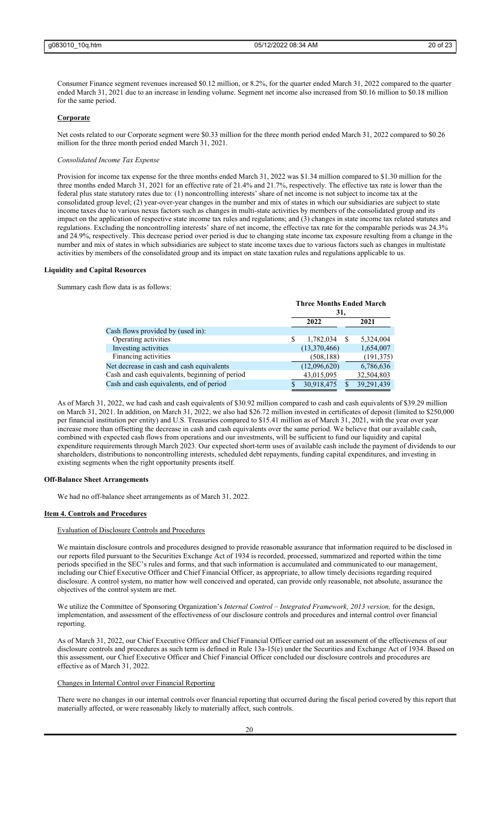Consumer Finance segment revenues increased \$0.12 million, or 8.2%, for the quarter ended March 31, 2022 compared to the quarter ended March 31, 2021 due to an increase in lending volume. Segment net income also increased from \$0.16 million to \$0.18 million for the same period.

### **Corporate**

Net costs related to our Corporate segment were \$0.33 million for the three month period ended March 31, 2022 compared to \$0.26 million for the three month period ended March 31, 2021.

#### *Consolidated Income Tax Expense*

Provision for income tax expense for the three months ended March 31, 2022 was \$1.34 million compared to \$1.30 million for the three months ended March 31, 2021 for an effective rate of 21.4% and 21.7%, respectively. The effective tax rate is lower than the federal plus state statutory rates due to: (1) noncontrolling interests' share of net income is not subject to income tax at the consolidated group level; (2) year-over-year changes in the number and mix of states in which our subsidiaries are subject to state income taxes due to various nexus factors such as changes in multi-state activities by members of the consolidated group and its impact on the application of respective state income tax rules and regulations; and (3) changes in state income tax related statutes and regulations. Excluding the noncontrolling interests' share of net income, the effective tax rate for the comparable periods was 24.3% and 24.9%, respectively. This decrease period over period is due to changing state income tax exposure resulting from a change in the number and mix of states in which subsidiaries are subject to state income taxes due to various factors such as changes in multistate activities by members of the consolidated group and its impact on state taxation rules and regulations applicable to us.

#### **Liquidity and Capital Resources**

Summary cash flow data is as follows:

|                                                | <b>Three Months Ended March</b><br>31, |   |            |
|------------------------------------------------|----------------------------------------|---|------------|
|                                                | 2022                                   |   | 2021       |
| Cash flows provided by (used in):              |                                        |   |            |
| Operating activities                           | 1,782,034                              | S | 5,324,004  |
| Investing activities                           | (13,370,466)                           |   | 1,654,007  |
| Financing activities                           | (508, 188)                             |   | (191, 375) |
| Net decrease in cash and cash equivalents      | (12,096,620)                           |   | 6,786,636  |
| Cash and cash equivalents, beginning of period | 43,015,095                             |   | 32,504,803 |
| Cash and cash equivalents, end of period       | 30,918,475                             |   | 39,291,439 |

As of March 31, 2022, we had cash and cash equivalents of \$30.92 million compared to cash and cash equivalents of \$39.29 million on March 31, 2021. In addition, on March 31, 2022, we also had \$26.72 million invested in certificates of deposit (limited to \$250,000 per financial institution per entity) and U.S. Treasuries compared to \$15.41 million as of March 31, 2021, with the year over year increase more than offsetting the decrease in cash and cash equivalents over the same period. We believe that our available cash, combined with expected cash flows from operations and our investments, will be sufficient to fund our liquidity and capital expenditure requirements through March 2023. Our expected short-term uses of available cash include the payment of dividends to our shareholders, distributions to noncontrolling interests, scheduled debt repayments, funding capital expenditures, and investing in existing segments when the right opportunity presents itself.

#### **Off-Balance Sheet Arrangements**

We had no off-balance sheet arrangements as of March 31, 2022.

#### **Item 4. Controls and Procedures**

#### Evaluation of Disclosure Controls and Procedures

We maintain disclosure controls and procedures designed to provide reasonable assurance that information required to be disclosed in our reports filed pursuant to the Securities Exchange Act of 1934 is recorded, processed, summarized and reported within the time periods specified in the SEC's rules and forms, and that such information is accumulated and communicated to our management, including our Chief Executive Officer and Chief Financial Officer, as appropriate, to allow timely decisions regarding required disclosure. A control system, no matter how well conceived and operated, can provide only reasonable, not absolute, assurance the objectives of the control system are met.

We utilize the Committee of Sponsoring Organization's *Internal Control – Integrated Framework, 2013 version*, for the design, implementation, and assessment of the effectiveness of our disclosure controls and procedures and internal control over financial reporting.

As of March 31, 2022, our Chief Executive Officer and Chief Financial Officer carried out an assessment of the effectiveness of our disclosure controls and procedures as such term is defined in Rule 13a-15(e) under the Securities and Exchange Act of 1934. Based on this assessment, our Chief Executive Officer and Chief Financial Officer concluded our disclosure controls and procedures are effective as of March 31, 2022.

### Changes in Internal Control over Financial Reporting

There were no changes in our internal controls over financial reporting that occurred during the fiscal period covered by this report that materially affected, or were reasonably likely to materially affect, such controls.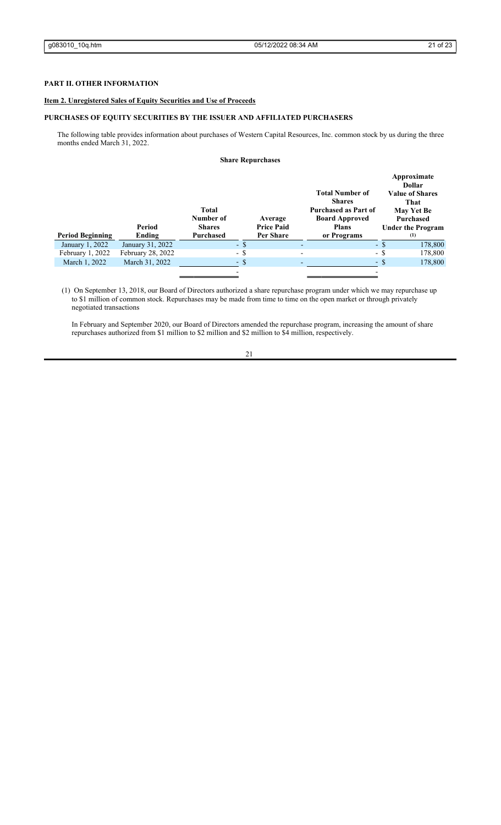### **PART II. OTHER INFORMATION**

### **Item 2. Unregistered Sales of Equity Securities and Use of Proceeds**

### **PURCHASES OF EQUITY SECURITIES BY THE ISSUER AND AFFILIATED PURCHASERS**

The following table provides information about purchases of Western Capital Resources, Inc. common stock by us during the three months ended March 31, 2022.

### **Share Repurchases**

| <b>Period Beginning</b> | Period<br>Ending  | Total<br>Number of<br><b>Shares</b><br><b>Purchased</b> |      | Average<br><b>Price Paid</b><br>Per Share | <b>Total Number of</b><br><b>Shares</b><br><b>Purchased as Part of</b><br><b>Board Approved</b><br><b>Plans</b><br>or Programs |        | Approximate<br><b>Dollar</b><br><b>Value of Shares</b><br>That<br><b>May Yet Be</b><br><b>Purchased</b><br><b>Under the Program</b><br>(1) |
|-------------------------|-------------------|---------------------------------------------------------|------|-------------------------------------------|--------------------------------------------------------------------------------------------------------------------------------|--------|--------------------------------------------------------------------------------------------------------------------------------------------|
| January 1, 2022         | January 31, 2022  |                                                         | - \$ |                                           |                                                                                                                                | $-$ \$ | 178,800                                                                                                                                    |
| February 1, 2022        | February 28, 2022 |                                                         | - \$ |                                           |                                                                                                                                | - \$   | 178,800                                                                                                                                    |
| March 1, 2022           | March 31, 2022    |                                                         | - \$ |                                           |                                                                                                                                | - S    | 178,800                                                                                                                                    |
|                         |                   |                                                         |      |                                           |                                                                                                                                |        |                                                                                                                                            |

(1) On September 13, 2018, our Board of Directors authorized a share repurchase program under which we may repurchase up to \$1 million of common stock. Repurchases may be made from time to time on the open market or through privately negotiated transactions

In February and September 2020, our Board of Directors amended the repurchase program, increasing the amount of share repurchases authorized from \$1 million to \$2 million and \$2 million to \$4 million, respectively.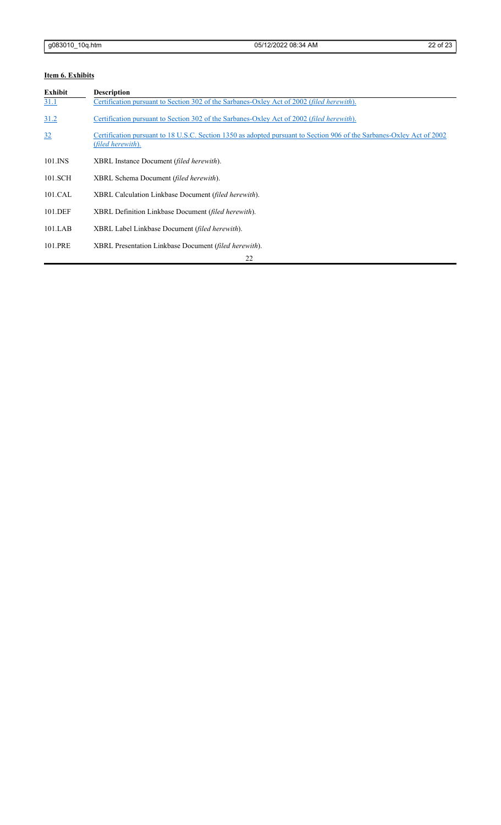## **Item 6. Exhibits**

| Exhibit<br>31.1 | <b>Description</b><br>Certification pursuant to Section 302 of the Sarbanes-Oxley Act of 2002 (filed herewith).                                   |
|-----------------|---------------------------------------------------------------------------------------------------------------------------------------------------|
| 31.2            | Certification pursuant to Section 302 of the Sarbanes-Oxley Act of 2002 (filed herewith).                                                         |
| 32              | Certification pursuant to 18 U.S.C. Section 1350 as adopted pursuant to Section 906 of the Sarbanes-Oxley Act of 2002<br><i>(filed herewith).</i> |
| $101$ . INS     | XBRL Instance Document (filed herewith).                                                                                                          |
| 101.SCH         | XBRL Schema Document (filed herewith).                                                                                                            |
| 101.CAL         | XBRL Calculation Linkbase Document (filed herewith).                                                                                              |
| 101.DEF         | XBRL Definition Linkbase Document (filed herewith).                                                                                               |
| 101.LAB         | XBRL Label Linkbase Document (filed herewith).                                                                                                    |
| 101.PRE         | XBRL Presentation Linkbase Document (filed herewith).                                                                                             |
|                 | 22                                                                                                                                                |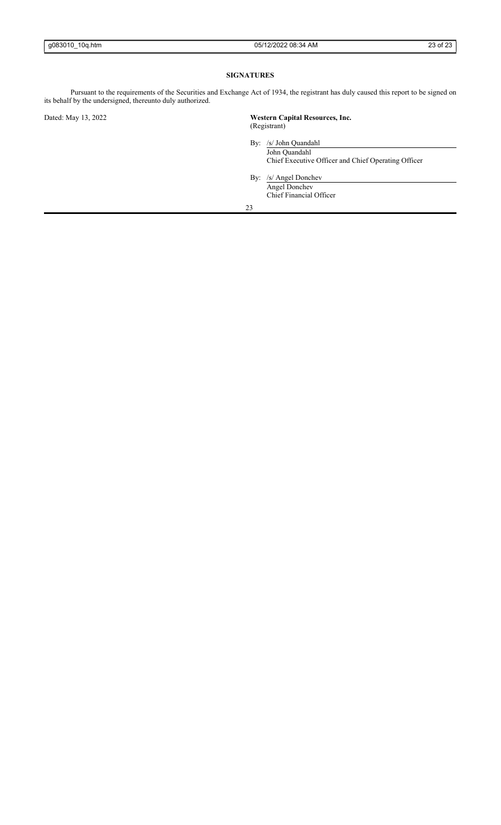## **SIGNATURES**

Pursuant to the requirements of the Securities and Exchange Act of 1934, the registrant has duly caused this report to be signed on its behalf by the undersigned, thereunto duly authorized.

#### Dated: May 13, 2022 **Western Capital Resources, Inc.** (Registrant)

- By: /s/ John Quandahl John Quandahl Chief Executive Officer and Chief Operating Officer
- By: /s/ Angel Donchev Angel Donchev Chief Financial Officer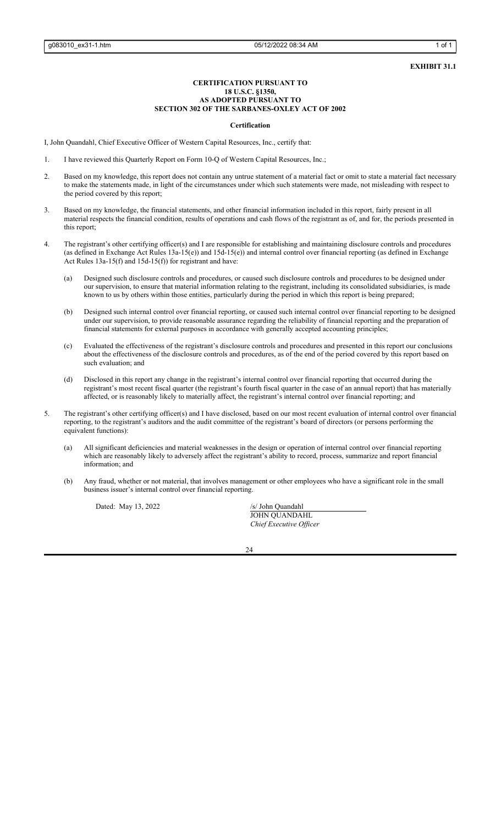#### **CERTIFICATION PURSUANT TO 18 U.S.C. §1350, AS ADOPTED PURSUANT TO SECTION 302 OF THE SARBANES-OXLEY ACT OF 2002**

### **Certification**

I, John Quandahl, Chief Executive Officer of Western Capital Resources, Inc., certify that:

- 1. I have reviewed this Quarterly Report on Form 10-Q of Western Capital Resources, Inc.;
- 2. Based on my knowledge, this report does not contain any untrue statement of a material fact or omit to state a material fact necessary to make the statements made, in light of the circumstances under which such statements were made, not misleading with respect to the period covered by this report;
- 3. Based on my knowledge, the financial statements, and other financial information included in this report, fairly present in all material respects the financial condition, results of operations and cash flows of the registrant as of, and for, the periods presented in this report;
- 4. The registrant's other certifying officer(s) and I are responsible for establishing and maintaining disclosure controls and procedures (as defined in Exchange Act Rules 13a-15(e)) and 15d-15(e)) and internal control over financial reporting (as defined in Exchange Act Rules 13a-15(f) and 15d-15(f)) for registrant and have:
	- (a) Designed such disclosure controls and procedures, or caused such disclosure controls and procedures to be designed under our supervision, to ensure that material information relating to the registrant, including its consolidated subsidiaries, is made known to us by others within those entities, particularly during the period in which this report is being prepared;
	- (b) Designed such internal control over financial reporting, or caused such internal control over financial reporting to be designed under our supervision, to provide reasonable assurance regarding the reliability of financial reporting and the preparation of financial statements for external purposes in accordance with generally accepted accounting principles;
	- (c) Evaluated the effectiveness of the registrant's disclosure controls and procedures and presented in this report our conclusions about the effectiveness of the disclosure controls and procedures, as of the end of the period covered by this report based on such evaluation; and
	- (d) Disclosed in this report any change in the registrant's internal control over financial reporting that occurred during the registrant's most recent fiscal quarter (the registrant's fourth fiscal quarter in the case of an annual report) that has materially affected, or is reasonably likely to materially affect, the registrant's internal control over financial reporting; and
- 5. The registrant's other certifying officer(s) and I have disclosed, based on our most recent evaluation of internal control over financial reporting, to the registrant's auditors and the audit committee of the registrant's board of directors (or persons performing the equivalent functions):
	- (a) All significant deficiencies and material weaknesses in the design or operation of internal control over financial reporting which are reasonably likely to adversely affect the registrant's ability to record, process, summarize and report financial information; and
	- (b) Any fraud, whether or not material, that involves management or other employees who have a significant role in the small business issuer's internal control over financial reporting.

Dated: May 13, 2022 /s/ John Quandahl

JOHN QUANDAHL *Chief Executive Officer*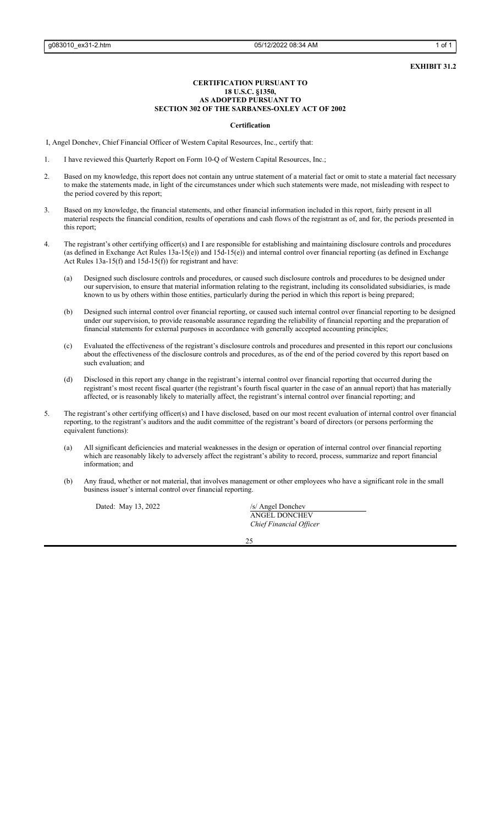#### **CERTIFICATION PURSUANT TO 18 U.S.C. §1350, AS ADOPTED PURSUANT TO SECTION 302 OF THE SARBANES-OXLEY ACT OF 2002**

### **Certification**

I, Angel Donchev, Chief Financial Officer of Western Capital Resources, Inc., certify that:

- 1. I have reviewed this Quarterly Report on Form 10-Q of Western Capital Resources, Inc.;
- 2. Based on my knowledge, this report does not contain any untrue statement of a material fact or omit to state a material fact necessary to make the statements made, in light of the circumstances under which such statements were made, not misleading with respect to the period covered by this report;
- 3. Based on my knowledge, the financial statements, and other financial information included in this report, fairly present in all material respects the financial condition, results of operations and cash flows of the registrant as of, and for, the periods presented in this report;
- 4. The registrant's other certifying officer(s) and I are responsible for establishing and maintaining disclosure controls and procedures (as defined in Exchange Act Rules 13a-15(e)) and 15d-15(e)) and internal control over financial reporting (as defined in Exchange Act Rules 13a-15(f) and 15d-15(f)) for registrant and have:
	- (a) Designed such disclosure controls and procedures, or caused such disclosure controls and procedures to be designed under our supervision, to ensure that material information relating to the registrant, including its consolidated subsidiaries, is made known to us by others within those entities, particularly during the period in which this report is being prepared;
	- (b) Designed such internal control over financial reporting, or caused such internal control over financial reporting to be designed under our supervision, to provide reasonable assurance regarding the reliability of financial reporting and the preparation of financial statements for external purposes in accordance with generally accepted accounting principles;
	- (c) Evaluated the effectiveness of the registrant's disclosure controls and procedures and presented in this report our conclusions about the effectiveness of the disclosure controls and procedures, as of the end of the period covered by this report based on such evaluation; and
	- (d) Disclosed in this report any change in the registrant's internal control over financial reporting that occurred during the registrant's most recent fiscal quarter (the registrant's fourth fiscal quarter in the case of an annual report) that has materially affected, or is reasonably likely to materially affect, the registrant's internal control over financial reporting; and
- 5. The registrant's other certifying officer(s) and I have disclosed, based on our most recent evaluation of internal control over financial reporting, to the registrant's auditors and the audit committee of the registrant's board of directors (or persons performing the equivalent functions):
	- (a) All significant deficiencies and material weaknesses in the design or operation of internal control over financial reporting which are reasonably likely to adversely affect the registrant's ability to record, process, summarize and report financial information; and
	- (b) Any fraud, whether or not material, that involves management or other employees who have a significant role in the small business issuer's internal control over financial reporting.

Dated: May 13, 2022 /s/ Angel Donchev

ANGEL DONCHEV *Chief Financial Officer*